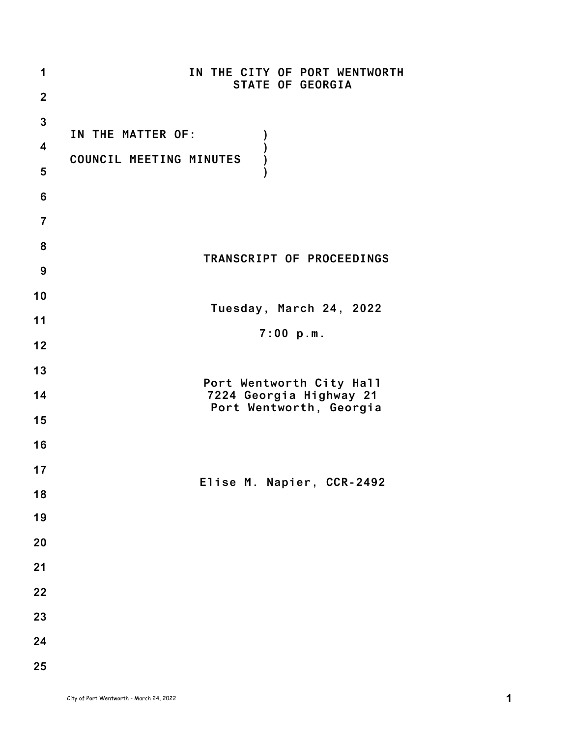| 1                       | IN THE CITY OF PORT WENTWORTH<br>STATE OF GEORGIA   |
|-------------------------|-----------------------------------------------------|
| $\overline{2}$          |                                                     |
| $\mathbf{3}$            |                                                     |
| $\overline{\mathbf{4}}$ | IN THE MATTER OF:                                   |
| 5                       | COUNCIL MEETING MINUTES                             |
| $6\phantom{1}6$         |                                                     |
| 7                       |                                                     |
| 8                       |                                                     |
| 9                       | TRANSCRIPT OF PROCEEDINGS                           |
| 10                      |                                                     |
| 11                      | Tuesday, March 24, 2022                             |
| 12                      | 7:00 p.m.                                           |
| 13                      |                                                     |
| 14                      | Port Wentworth City Hall<br>7224 Georgia Highway 21 |
| 15                      | Port Wentworth, Georgia                             |
| 16                      |                                                     |
| 17                      |                                                     |
| 18                      | Elise M. Napier, CCR-2492                           |
| 19                      |                                                     |
| 20                      |                                                     |
| 21                      |                                                     |
| 22                      |                                                     |
| 23                      |                                                     |
| 24                      |                                                     |
| 25                      |                                                     |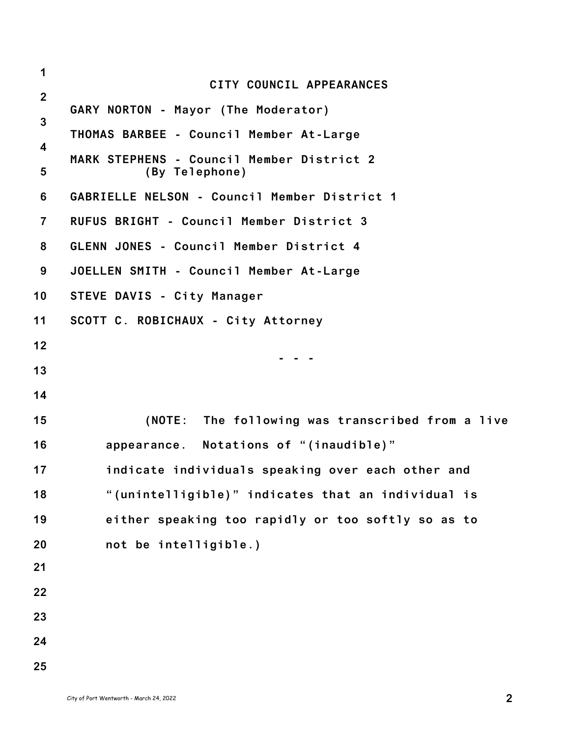| 1              |                                                             |
|----------------|-------------------------------------------------------------|
| $\overline{2}$ | CITY COUNCIL APPEARANCES                                    |
| $\mathbf{3}$   | GARY NORTON - Mayor (The Moderator)                         |
| 4              | THOMAS BARBEE - Council Member At-Large                     |
| 5              | MARK STEPHENS - Council Member District 2<br>(By Telephone) |
| 6              | GABRIELLE NELSON - Council Member District 1                |
| $\overline{7}$ | RUFUS BRIGHT - Council Member District 3                    |
| 8              | GLENN JONES - Council Member District 4                     |
| 9              | JOELLEN SMITH - Council Member At-Large                     |
| 10             | STEVE DAVIS - City Manager                                  |
| 11             | SCOTT C. ROBICHAUX - City Attorney                          |
| 12             |                                                             |
| 13             |                                                             |
| 14             |                                                             |
| 15             | (NOTE: The following was transcribed from a live            |
| 16             | appearance. Notations of "(inaudible)"                      |
| 17             | indicate individuals speaking over each other and           |
| 18             | "(unintelligible)" indicates that an individual is          |
| 19             | either speaking too rapidly or too softly so as to          |
| 20             | not be intelligible.)                                       |
| 21             |                                                             |
| 22             |                                                             |
| 23             |                                                             |
| 24             |                                                             |
| 25             |                                                             |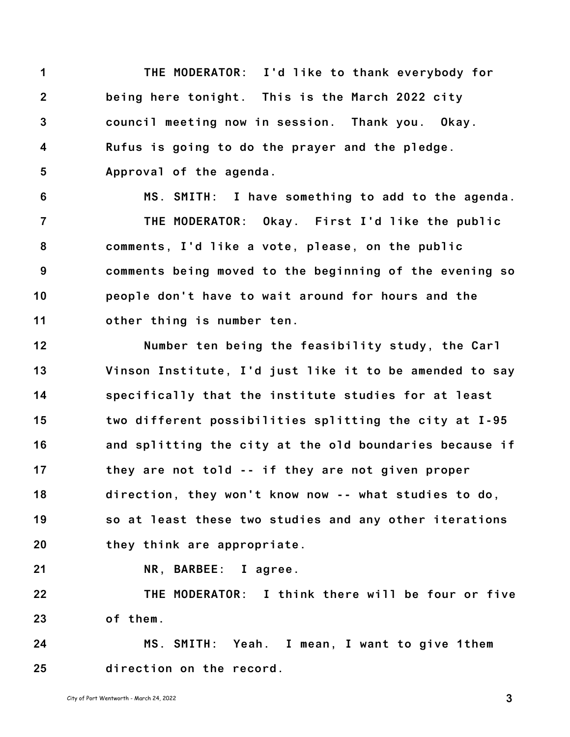**1 2 3 4 5 THE MODERATOR: I'd like to thank everybody for being here tonight. This is the March 2022 city council meeting now in session. Thank you. Okay. Rufus is going to do the prayer and the pledge. Approval of the agenda.**

**6 7 8 9 10 11 MS. SMITH: I have something to add to the agenda. THE MODERATOR: Okay. First I'd like the public comments, I'd like a vote, please, on the public comments being moved to the beginning of the evening so people don't have to wait around for hours and the other thing is number ten.**

**12 13 14 15 16 17 18 19 20 Number ten being the feasibility study, the Carl Vinson Institute, I'd just like it to be amended to say specifically that the institute studies for at least two different possibilities splitting the city at I-95 and splitting the city at the old boundaries because if they are not told -- if they are not given proper direction, they won't know now -- what studies to do, so at least these two studies and any other iterations they think are appropriate.**

**21**

**NR, BARBEE: I agree.**

**22 23 THE MODERATOR: I think there will be four or five of them.**

**24 25 MS. SMITH: Yeah. I mean, I want to give 1them direction on the record.**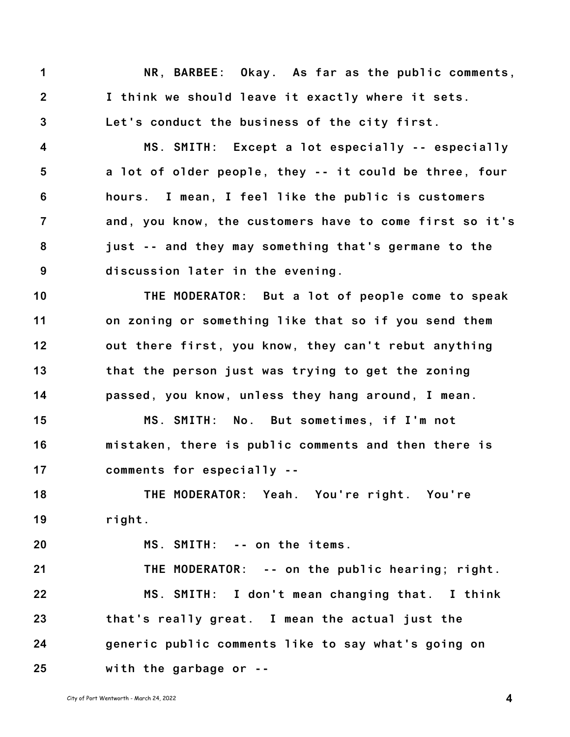**1 2 3 NR, BARBEE: Okay. As far as the public comments, I think we should leave it exactly where it sets. Let's conduct the business of the city first.**

**4 5 6 7 8 9 MS. SMITH: Except a lot especially -- especially a lot of older people, they -- it could be three, four hours. I mean, I feel like the public is customers and, you know, the customers have to come first so it's just -- and they may something that's germane to the discussion later in the evening.**

**10 11 12 13 14 THE MODERATOR: But a lot of people come to speak on zoning or something like that so if you send them out there first, you know, they can't rebut anything that the person just was trying to get the zoning passed, you know, unless they hang around, I mean.**

**15 16 17 MS. SMITH: No. But sometimes, if I'm not mistaken, there is public comments and then there is comments for especially --**

**18 19 THE MODERATOR: Yeah. You're right. You're right.**

**MS. SMITH: -- on the items.**

**21 22 23 24 25 THE MODERATOR: -- on the public hearing; right. MS. SMITH: I don't mean changing that. I think that's really great. I mean the actual just the generic public comments like to say what's going on with the garbage or --**

**20**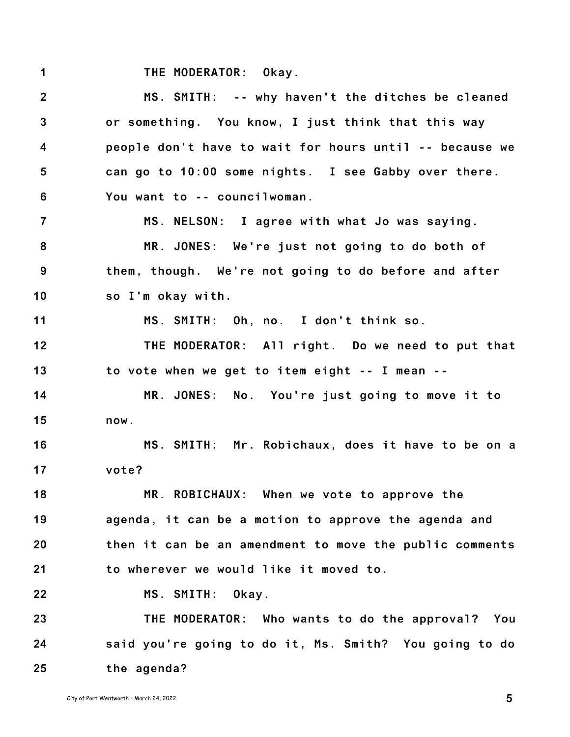**1 THE MODERATOR: Okay.**

**2 3 4 5 6 7 8 9 10 11 12 13 14 15 16 17 18 19 20 21 22 23 24 25 MS. SMITH: -- why haven't the ditches be cleaned or something. You know, I just think that this way people don't have to wait for hours until -- because we can go to 10:00 some nights. I see Gabby over there. You want to -- councilwoman. MS. NELSON: I agree with what Jo was saying. MR. JONES: We're just not going to do both of them, though. We're not going to do before and after so I'm okay with. MS. SMITH: Oh, no. I don't think so. THE MODERATOR: All right. Do we need to put that to vote when we get to item eight -- I mean -- MR. JONES: No. You're just going to move it to now. MS. SMITH: Mr. Robichaux, does it have to be on a vote? MR. ROBICHAUX: When we vote to approve the agenda, it can be a motion to approve the agenda and then it can be an amendment to move the public comments to wherever we would like it moved to. MS. SMITH: Okay. THE MODERATOR: Who wants to do the approval? You said you're going to do it, Ms. Smith? You going to do the agenda?**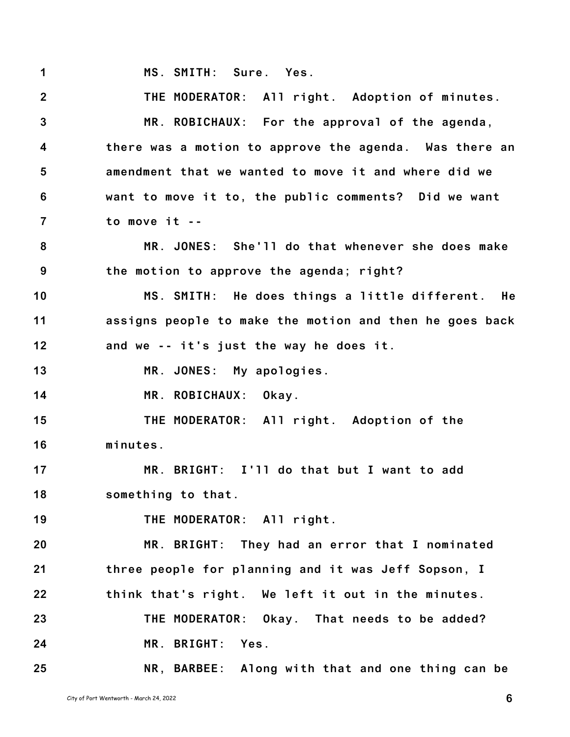**1 MS. SMITH: Sure. Yes.**

**2 3 4 5 6 7 8 9 10 11 12 13 14 15 16 17 18 19 20 21 22 23 24 25 THE MODERATOR: All right. Adoption of minutes. MR. ROBICHAUX: For the approval of the agenda, there was a motion to approve the agenda. Was there an amendment that we wanted to move it and where did we want to move it to, the public comments? Did we want to move it -- MR. JONES: She'll do that whenever she does make the motion to approve the agenda; right? MS. SMITH: He does things a little different. He assigns people to make the motion and then he goes back and we -- it's just the way he does it. MR. JONES: My apologies. MR. ROBICHAUX: Okay. THE MODERATOR: All right. Adoption of the minutes. MR. BRIGHT: I'll do that but I want to add something to that. THE MODERATOR: All right. MR. BRIGHT: They had an error that I nominated three people for planning and it was Jeff Sopson, I think that's right. We left it out in the minutes. THE MODERATOR: Okay. That needs to be added? MR. BRIGHT: Yes. NR, BARBEE: Along with that and one thing can be**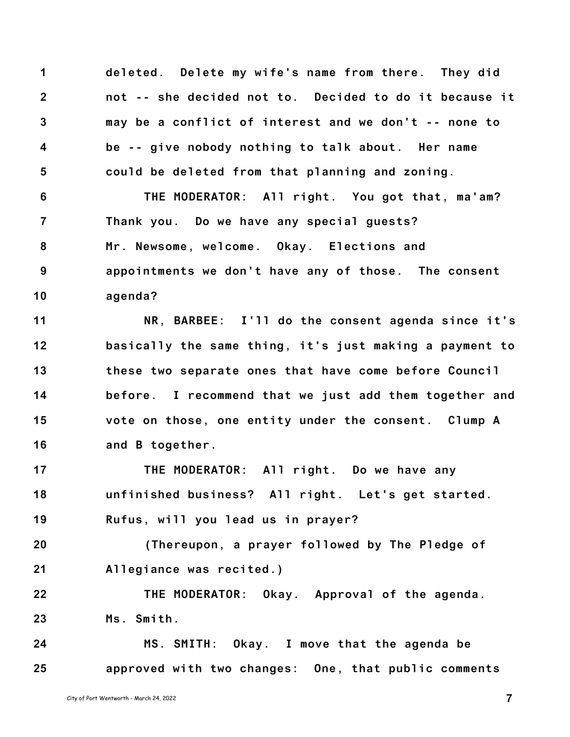**1 2 3 4 5 deleted. Delete my wife's name from there. They did not -- she decided not to. Decided to do it because it may be a conflict of interest and we don't -- none to be -- give nobody nothing to talk about. Her name could be deleted from that planning and zoning.**

**6 7 8 9 10 THE MODERATOR: All right. You got that, ma'am? Thank you. Do we have any special guests? Mr. Newsome, welcome. Okay. Elections and appointments we don't have any of those. The consent agenda?**

**11 12 13 14 15 16 NR, BARBEE: I'll do the consent agenda since it's basically the same thing, it's just making a payment to these two separate ones that have come before Council before. I recommend that we just add them together and vote on those, one entity under the consent. Clump A and B together.**

**17 18 19 THE MODERATOR: All right. Do we have any unfinished business? All right. Let's get started. Rufus, will you lead us in prayer?**

**20 21 (Thereupon, a prayer followed by The Pledge of Allegiance was recited.)**

**22 23 THE MODERATOR: Okay. Approval of the agenda. Ms. Smith.**

**24 25 MS. SMITH: Okay. I move that the agenda be approved with two changes: One, that public comments**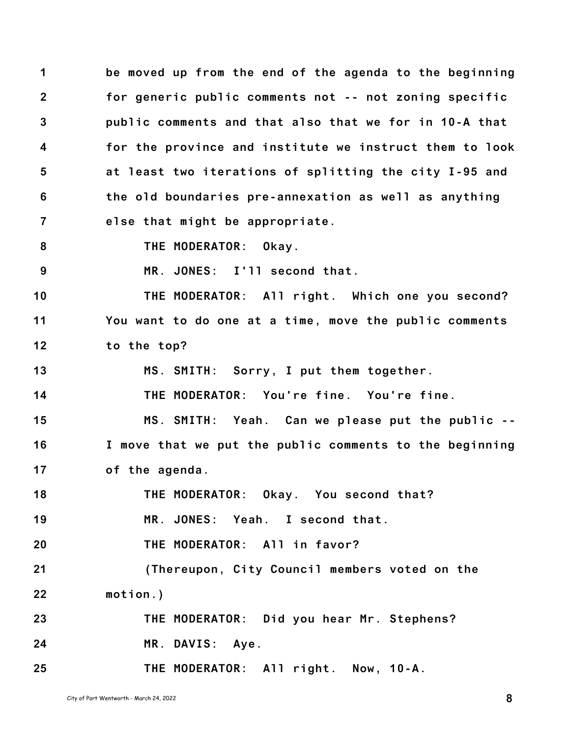**1 2 3 4 5 6 7 be moved up from the end of the agenda to the beginning for generic public comments not -- not zoning specific public comments and that also that we for in 10-A that for the province and institute we instruct them to look at least two iterations of splitting the city I-95 and the old boundaries pre-annexation as well as anything else that might be appropriate.**

**8**

**THE MODERATOR: Okay.**

**9 MR. JONES: I'll second that.**

**10 11 12 THE MODERATOR: All right. Which one you second? You want to do one at a time, move the public comments to the top?**

**13 MS. SMITH: Sorry, I put them together.**

**14 THE MODERATOR: You're fine. You're fine.**

**15 16 17 MS. SMITH: Yeah. Can we please put the public -- I move that we put the public comments to the beginning of the agenda.**

**18 19 20 21 22 23 24 THE MODERATOR: Okay. You second that? MR. JONES: Yeah. I second that. THE MODERATOR: All in favor? (Thereupon, City Council members voted on the motion.) THE MODERATOR: Did you hear Mr. Stephens? MR. DAVIS: Aye.**

**25 THE MODERATOR: All right. Now, 10-A.**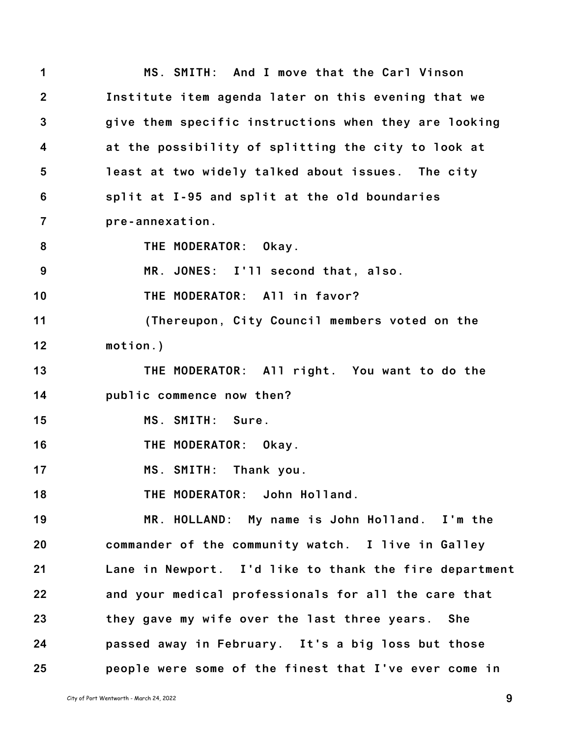**1 2 3 4 5 6 7 8 9 10 11 12 13 14 15 16 17 18 19 20 21 22 23 24 25 MS. SMITH: And I move that the Carl Vinson Institute item agenda later on this evening that we give them specific instructions when they are looking at the possibility of splitting the city to look at least at two widely talked about issues. The city split at I-95 and split at the old boundaries pre-annexation. THE MODERATOR: Okay. MR. JONES: I'll second that, also. THE MODERATOR: All in favor? (Thereupon, City Council members voted on the motion.) THE MODERATOR: All right. You want to do the public commence now then? MS. SMITH: Sure. THE MODERATOR: Okay. MS. SMITH: Thank you. THE MODERATOR: John Holland. MR. HOLLAND: My name is John Holland. I'm the commander of the community watch. I live in Galley Lane in Newport. I'd like to thank the fire department and your medical professionals for all the care that they gave my wife over the last three years. She passed away in February. It's a big loss but those people were some of the finest that I've ever come in**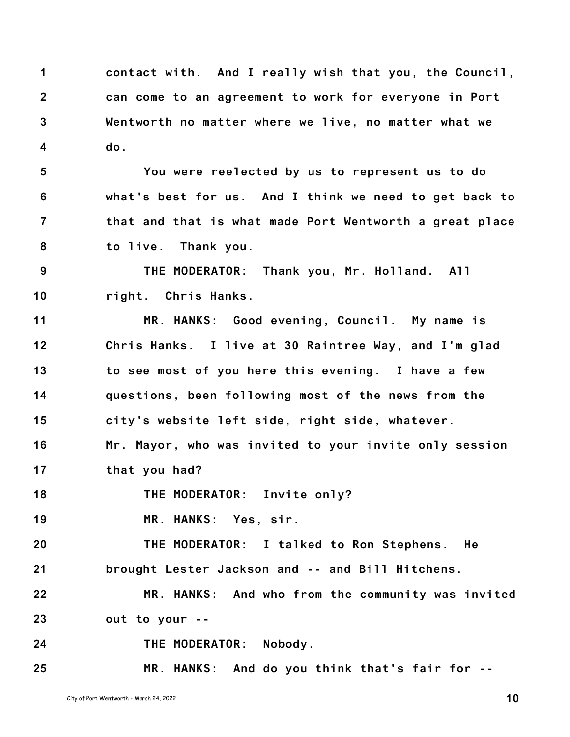**1 2 3 4 contact with. And I really wish that you, the Council, can come to an agreement to work for everyone in Port Wentworth no matter where we live, no matter what we do.**

**5 6 7 8 You were reelected by us to represent us to do what's best for us. And I think we need to get back to that and that is what made Port Wentworth a great place to live. Thank you.**

**9 10 THE MODERATOR: Thank you, Mr. Holland. All right. Chris Hanks.**

**11 12 13 14 15 MR. HANKS: Good evening, Council. My name is Chris Hanks. I live at 30 Raintree Way, and I'm glad to see most of you here this evening. I have a few questions, been following most of the news from the city's website left side, right side, whatever.**

**16 17 Mr. Mayor, who was invited to your invite only session that you had?**

**18 THE MODERATOR: Invite only?**

**19 MR. HANKS: Yes, sir.**

**20 21 THE MODERATOR: I talked to Ron Stephens. He brought Lester Jackson and -- and Bill Hitchens.**

**22 23 MR. HANKS: And who from the community was invited out to your --**

**24 THE MODERATOR: Nobody.**

**25 MR. HANKS: And do you think that's fair for --**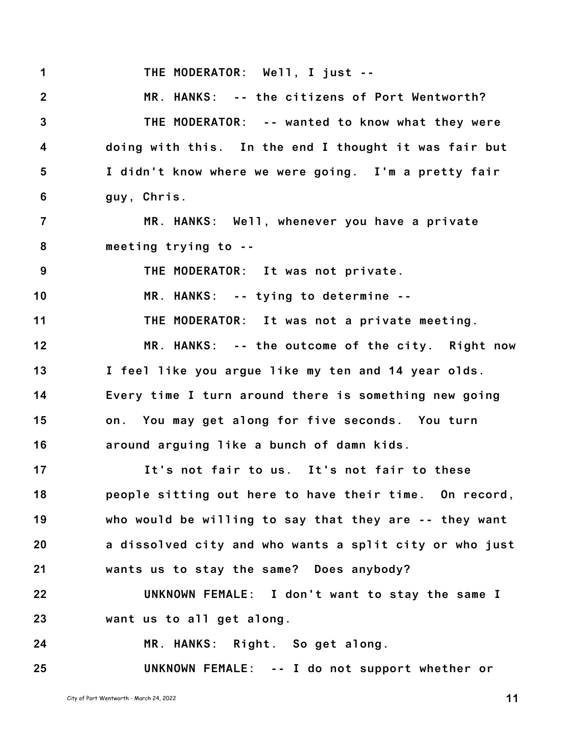**1 THE MODERATOR: Well, I just --**

**2 3 4 5 6 MR. HANKS: -- the citizens of Port Wentworth? THE MODERATOR: -- wanted to know what they were doing with this. In the end I thought it was fair but I didn't know where we were going. I'm a pretty fair guy, Chris.**

**7 8 MR. HANKS: Well, whenever you have a private meeting trying to --**

**9 THE MODERATOR: It was not private.**

**10 MR. HANKS: -- tying to determine --**

**11 THE MODERATOR: It was not a private meeting.**

**12 13 14 15 16 MR. HANKS: -- the outcome of the city. Right now I feel like you argue like my ten and 14 year olds. Every time I turn around there is something new going on. You may get along for five seconds. You turn around arguing like a bunch of damn kids.**

**17 18 19 20 21 It's not fair to us. It's not fair to these people sitting out here to have their time. On record, who would be willing to say that they are -- they want a dissolved city and who wants a split city or who just wants us to stay the same? Does anybody?**

**22 23 UNKNOWN FEMALE: I don't want to stay the same I want us to all get along.**

**24 MR. HANKS: Right. So get along.**

**25 UNKNOWN FEMALE: -- I do not support whether or**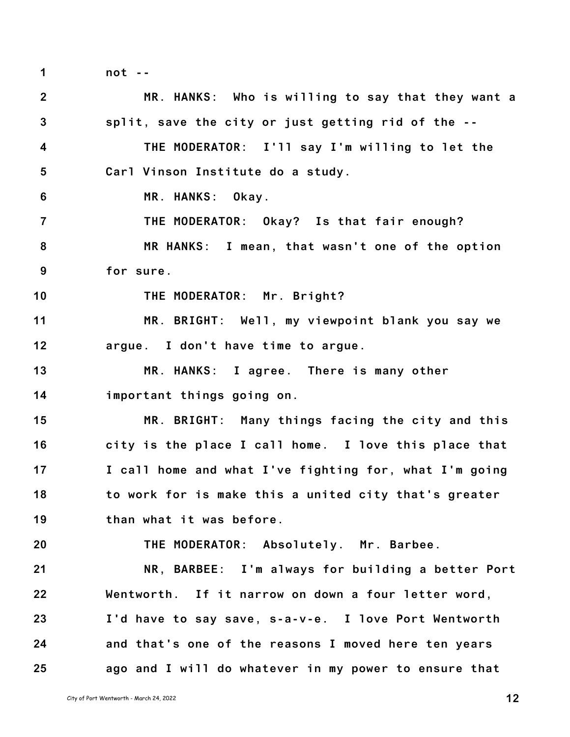**1**

**not --**

| 2 <sup>2</sup>          | MR. HANKS: Who is willing to say that they want a      |
|-------------------------|--------------------------------------------------------|
| $\overline{3}$          | split, save the city or just getting rid of the --     |
| $\overline{\mathbf{4}}$ | THE MODERATOR: I'll say I'm willing to let the         |
| $5\phantom{.0}$         | Carl Vinson Institute do a study.                      |
| 6                       | MR. HANKS: Okay.                                       |
| $\overline{7}$          | THE MODERATOR: Okay? Is that fair enough?              |
| 8                       | MR HANKS: I mean, that wasn't one of the option        |
| 9                       | for sure.                                              |
| 10                      | THE MODERATOR: Mr. Bright?                             |
| 11                      | MR. BRIGHT: Well, my viewpoint blank you say we        |
| 12                      | argue. I don't have time to argue.                     |
| 13                      | MR. HANKS: I agree. There is many other                |
| 14                      | important things going on.                             |
| 15                      | MR. BRIGHT: Many things facing the city and this       |
| 16                      | city is the place I call home. I love this place that  |
| 17                      | I call home and what I've fighting for, what I'm going |
| 18                      | to work for is make this a united city that's greater  |
| 19                      | than what it was before.                               |
| 20                      | THE MODERATOR: Absolutely. Mr. Barbee.                 |
| 21                      | NR, BARBEE: I'm always for building a better Port      |
| 22                      | Wentworth. If it narrow on down a four letter word,    |
| 23                      | I'd have to say save, s-a-v-e. I love Port Wentworth   |
| 24                      | and that's one of the reasons I moved here ten years   |
| 25                      | ago and I will do whatever in my power to ensure that  |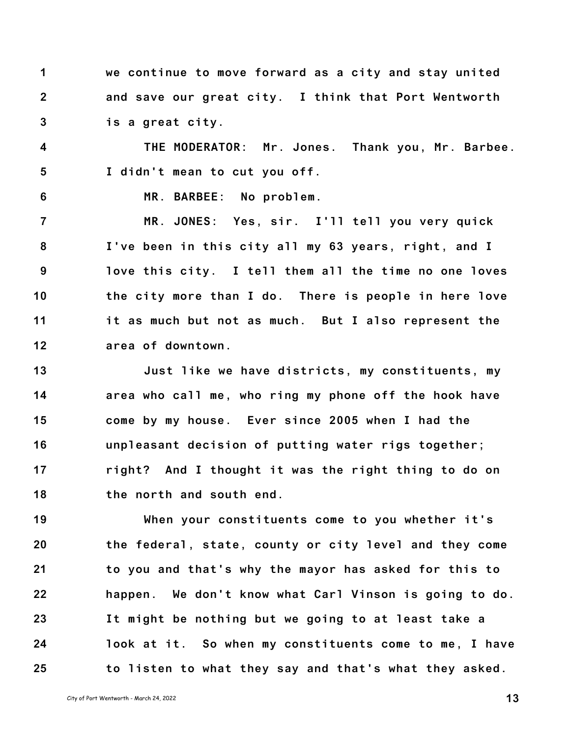**1 2 3 we continue to move forward as a city and stay united and save our great city. I think that Port Wentworth is a great city.**

**4 5 THE MODERATOR: Mr. Jones. Thank you, Mr. Barbee. I didn't mean to cut you off.**

**6**

**MR. BARBEE: No problem.**

**7 8 9 10 11 12 MR. JONES: Yes, sir. I'll tell you very quick I've been in this city all my 63 years, right, and I love this city. I tell them all the time no one loves the city more than I do. There is people in here love it as much but not as much. But I also represent the area of downtown.**

**13 14 15 16 17 18 Just like we have districts, my constituents, my area who call me, who ring my phone off the hook have come by my house. Ever since 2005 when I had the unpleasant decision of putting water rigs together; right? And I thought it was the right thing to do on the north and south end.**

**19 20 21 22 23 24 25 When your constituents come to you whether it's the federal, state, county or city level and they come to you and that's why the mayor has asked for this to happen. We don't know what Carl Vinson is going to do. It might be nothing but we going to at least take a look at it. So when my constituents come to me, I have to listen to what they say and that's what they asked.**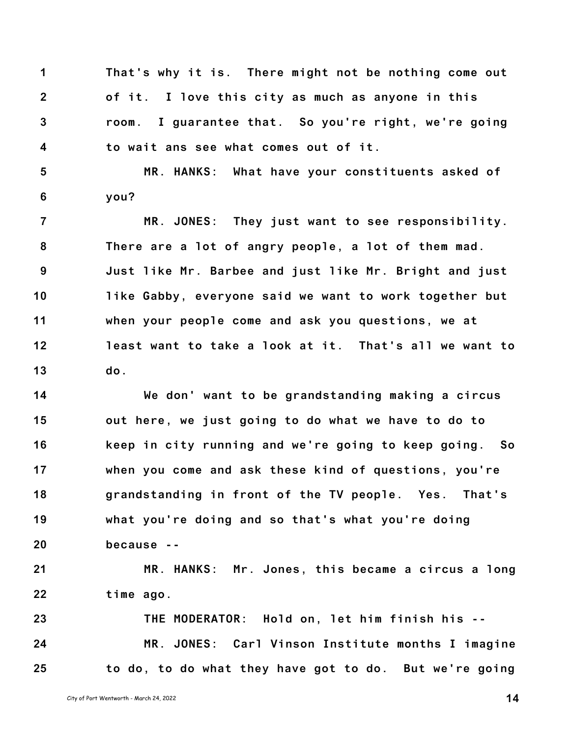**1 2 3 4 That's why it is. There might not be nothing come out of it. I love this city as much as anyone in this room. I guarantee that. So you're right, we're going to wait ans see what comes out of it.**

**5 6 MR. HANKS: What have your constituents asked of you?**

**7 8 9 10 11 12 13 MR. JONES: They just want to see responsibility. There are a lot of angry people, a lot of them mad. Just like Mr. Barbee and just like Mr. Bright and just like Gabby, everyone said we want to work together but when your people come and ask you questions, we at least want to take a look at it. That's all we want to do.**

**14 15 16 17 18 19 20 We don' want to be grandstanding making a circus out here, we just going to do what we have to do to keep in city running and we're going to keep going. So when you come and ask these kind of questions, you're grandstanding in front of the TV people. Yes. That's what you're doing and so that's what you're doing because --**

**21 22 MR. HANKS: Mr. Jones, this became a circus a long time ago.**

**23 24 25 THE MODERATOR: Hold on, let him finish his -- MR. JONES: Carl Vinson Institute months I imagine to do, to do what they have got to do. But we're going**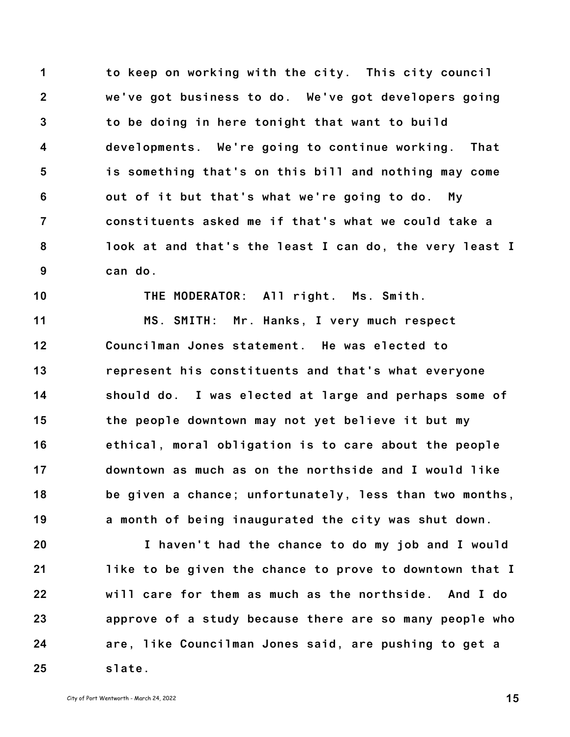**1 2 3 4 5 6 7 8 9 to keep on working with the city. This city council we've got business to do. We've got developers going to be doing in here tonight that want to build developments. We're going to continue working. That is something that's on this bill and nothing may come out of it but that's what we're going to do. My constituents asked me if that's what we could take a look at and that's the least I can do, the very least I can do.**

**THE MODERATOR: All right. Ms. Smith.**

**11 12 13 14 15 16 17 18 19 MS. SMITH: Mr. Hanks, I very much respect Councilman Jones statement. He was elected to represent his constituents and that's what everyone should do. I was elected at large and perhaps some of the people downtown may not yet believe it but my ethical, moral obligation is to care about the people downtown as much as on the northside and I would like be given a chance; unfortunately, less than two months, a month of being inaugurated the city was shut down.**

**20 21 22 23 24 25 I haven't had the chance to do my job and I would like to be given the chance to prove to downtown that I will care for them as much as the northside. And I do approve of a study because there are so many people who are, like Councilman Jones said, are pushing to get a slate.**

**10**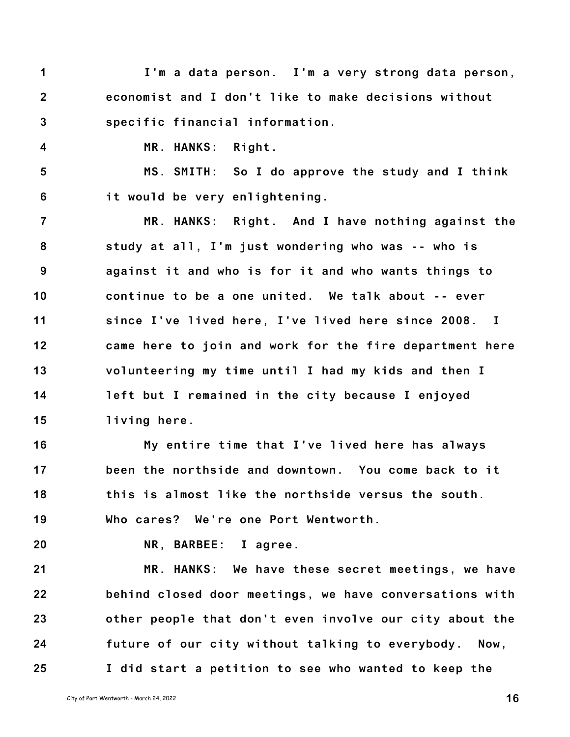- **1 2 3 I'm a data person. I'm a very strong data person, economist and I don't like to make decisions without specific financial information.**
	- **MR. HANKS: Right.**

**5 6 MS. SMITH: So I do approve the study and I think it would be very enlightening.**

**7 8 9 10 11 12 13 14 15 MR. HANKS: Right. And I have nothing against the study at all, I'm just wondering who was -- who is against it and who is for it and who wants things to continue to be a one united. We talk about -- ever since I've lived here, I've lived here since 2008. I came here to join and work for the fire department here volunteering my time until I had my kids and then I left but I remained in the city because I enjoyed living here.**

**16 17 18 19 My entire time that I've lived here has always been the northside and downtown. You come back to it this is almost like the northside versus the south. Who cares? We're one Port Wentworth.**

**20**

**4**

**NR, BARBEE: I agree.**

**21 22 23 24 25 MR. HANKS: We have these secret meetings, we have behind closed door meetings, we have conversations with other people that don't even involve our city about the future of our city without talking to everybody. Now, I did start a petition to see who wanted to keep the**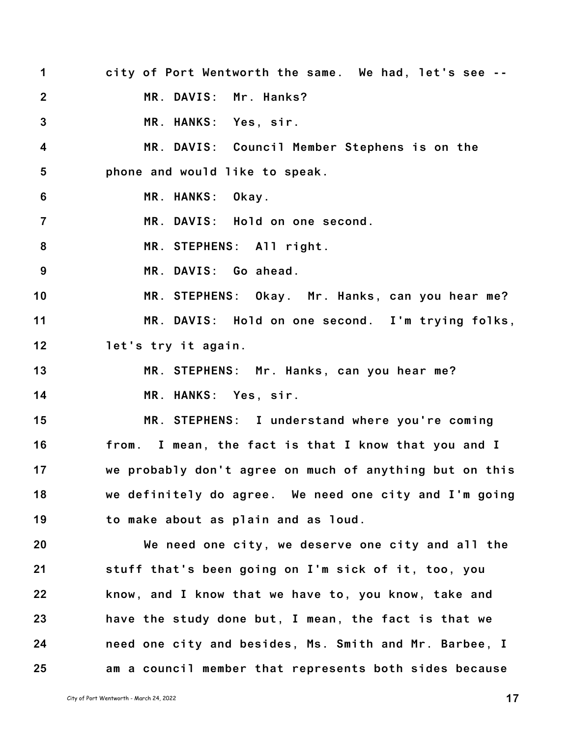- **1 2 3 4 5 6 7 8 9 10 11 12 13 14 15 16 17 18 19 20 21 22 23 24 city of Port Wentworth the same. We had, let's see -- MR. DAVIS: Mr. Hanks? MR. HANKS: Yes, sir. MR. DAVIS: Council Member Stephens is on the phone and would like to speak. MR. HANKS: Okay. MR. DAVIS: Hold on one second. MR. STEPHENS: All right. MR. DAVIS: Go ahead. MR. STEPHENS: Okay. Mr. Hanks, can you hear me? MR. DAVIS: Hold on one second. I'm trying folks, let's try it again. MR. STEPHENS: Mr. Hanks, can you hear me? MR. HANKS: Yes, sir. MR. STEPHENS: I understand where you're coming from. I mean, the fact is that I know that you and I we probably don't agree on much of anything but on this we definitely do agree. We need one city and I'm going to make about as plain and as loud. We need one city, we deserve one city and all the stuff that's been going on I'm sick of it, too, you know, and I know that we have to, you know, take and have the study done but, I mean, the fact is that we need one city and besides, Ms. Smith and Mr. Barbee, I**
	- **am a council member that represents both sides because**

**25**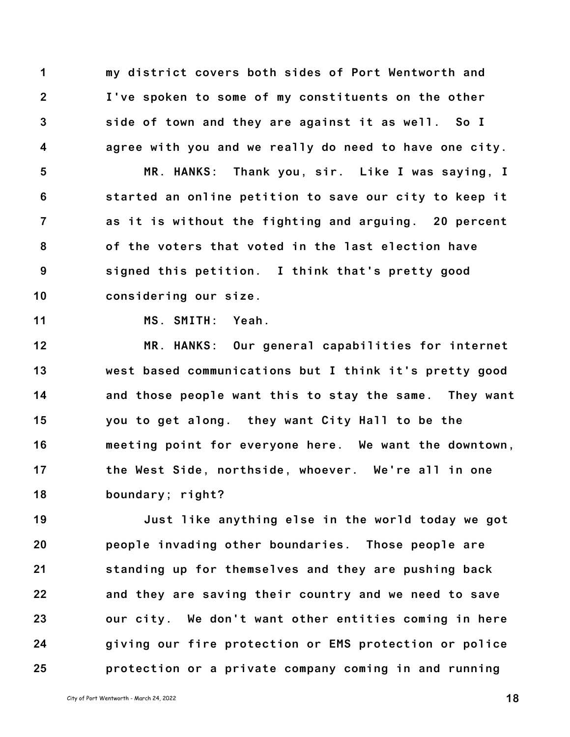**1 2 3 4 my district covers both sides of Port Wentworth and I've spoken to some of my constituents on the other side of town and they are against it as well. So I agree with you and we really do need to have one city.**

**5 6 7 8 9 10 MR. HANKS: Thank you, sir. Like I was saying, I started an online petition to save our city to keep it as it is without the fighting and arguing. 20 percent of the voters that voted in the last election have signed this petition. I think that's pretty good considering our size.**

**11**

**MS. SMITH: Yeah.**

**12 13 14 15 16 17 18 MR. HANKS: Our general capabilities for internet west based communications but I think it's pretty good and those people want this to stay the same. They want you to get along. they want City Hall to be the meeting point for everyone here. We want the downtown, the West Side, northside, whoever. We're all in one boundary; right?**

**19 20 21 22 23 24 25 Just like anything else in the world today we got people invading other boundaries. Those people are standing up for themselves and they are pushing back and they are saving their country and we need to save our city. We don't want other entities coming in here giving our fire protection or EMS protection or police protection or a private company coming in and running**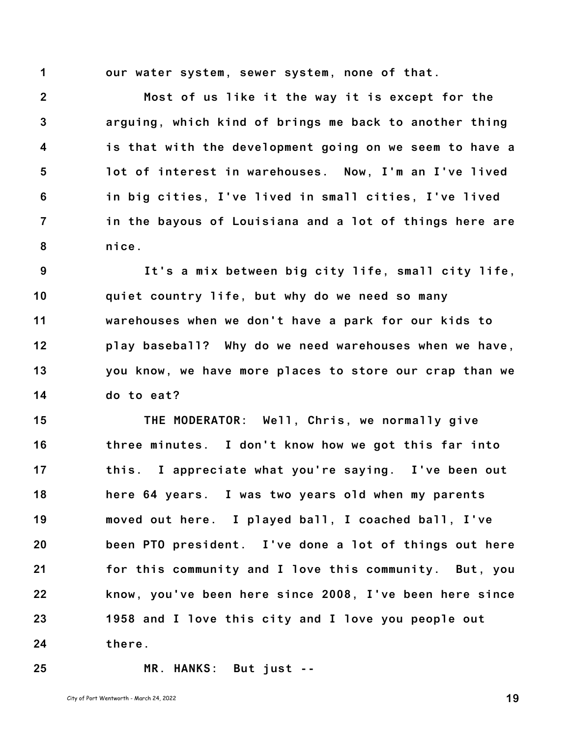**1**

**our water system, sewer system, none of that.**

**2 3 4 5 6 7 8 Most of us like it the way it is except for the arguing, which kind of brings me back to another thing is that with the development going on we seem to have a lot of interest in warehouses. Now, I'm an I've lived in big cities, I've lived in small cities, I've lived in the bayous of Louisiana and a lot of things here are nice.**

**9 10 11 12 13 14 It's a mix between big city life, small city life, quiet country life, but why do we need so many warehouses when we don't have a park for our kids to play baseball? Why do we need warehouses when we have, you know, we have more places to store our crap than we do to eat?**

**15 16 17 18 19 20 21 22 23 24 THE MODERATOR: Well, Chris, we normally give three minutes. I don't know how we got this far into this. I appreciate what you're saying. I've been out here 64 years. I was two years old when my parents moved out here. I played ball, I coached ball, I've been PTO president. I've done a lot of things out here for this community and I love this community. But, you know, you've been here since 2008, I've been here since 1958 and I love this city and I love you people out there.**

**25**

**MR. HANKS: But just --**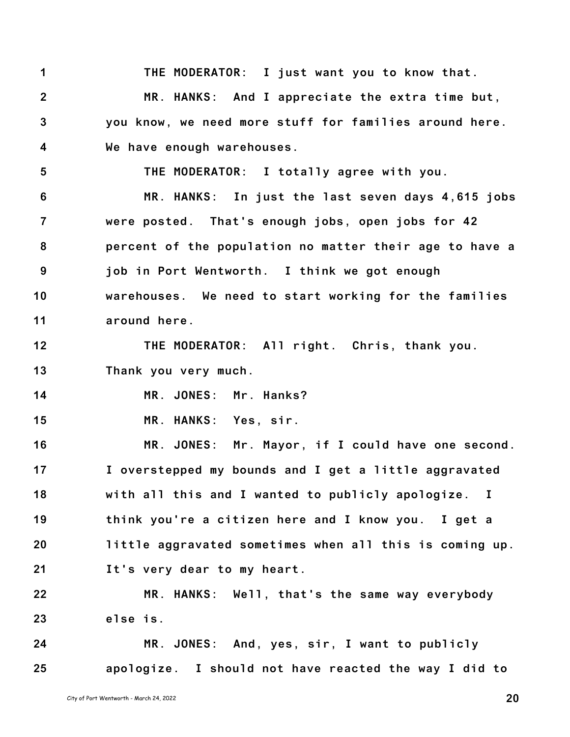**1 2 3 4 THE MODERATOR: I just want you to know that. MR. HANKS: And I appreciate the extra time but, you know, we need more stuff for families around here. We have enough warehouses.**

**5**

**THE MODERATOR: I totally agree with you.**

**6 7 8 9 10 11 MR. HANKS: In just the last seven days 4,615 jobs were posted. That's enough jobs, open jobs for 42 percent of the population no matter their age to have a job in Port Wentworth. I think we got enough warehouses. We need to start working for the families around here.**

**12 13 THE MODERATOR: All right. Chris, thank you. Thank you very much.**

**14 MR. JONES: Mr. Hanks?**

**15 MR. HANKS: Yes, sir.**

**16 17 18 19 20 21 MR. JONES: Mr. Mayor, if I could have one second. I overstepped my bounds and I get a little aggravated with all this and I wanted to publicly apologize. I think you're a citizen here and I know you. I get a little aggravated sometimes when all this is coming up. It's very dear to my heart.**

**22 23 MR. HANKS: Well, that's the same way everybody else is.**

**24 25 MR. JONES: And, yes, sir, I want to publicly apologize. I should not have reacted the way I did to**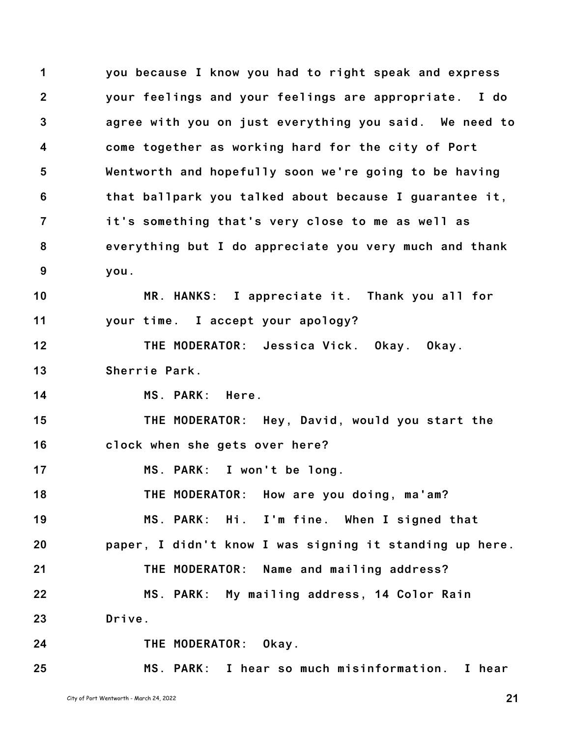**1 2 3 4 5 6 7 8 9 10 11 12 13 14 15 16 17 18 19 20 21 you because I know you had to right speak and express your feelings and your feelings are appropriate. I do agree with you on just everything you said. We need to come together as working hard for the city of Port Wentworth and hopefully soon we're going to be having that ballpark you talked about because I guarantee it, it's something that's very close to me as well as everything but I do appreciate you very much and thank you. MR. HANKS: I appreciate it. Thank you all for your time. I accept your apology? THE MODERATOR: Jessica Vick. Okay. Okay. Sherrie Park. MS. PARK: Here. THE MODERATOR: Hey, David, would you start the clock when she gets over here? MS. PARK: I won't be long. THE MODERATOR: How are you doing, ma'am? MS. PARK: Hi. I'm fine. When I signed that paper, I didn't know I was signing it standing up here. THE MODERATOR: Name and mailing address?**

**MS. PARK: My mailing address, 14 Color Rain**

**MS. PARK: I hear so much misinformation. I hear**

**23 Drive.**

**24 THE MODERATOR: Okay.**

**25**

**22**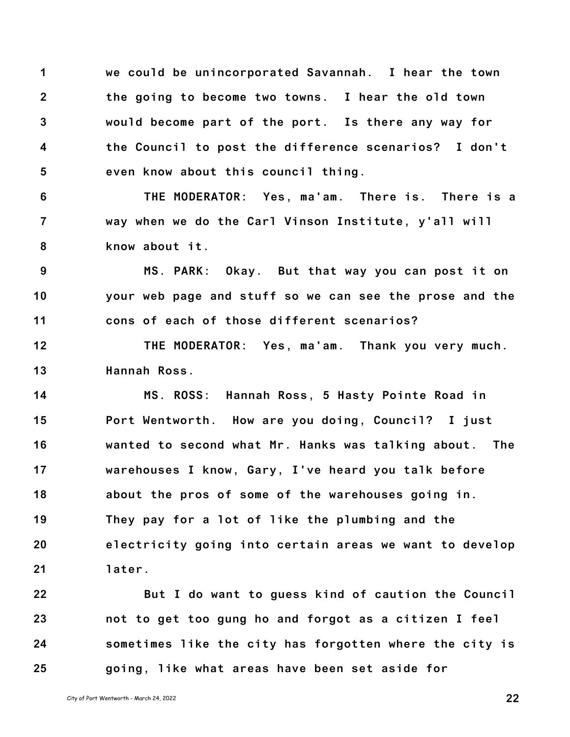**1 2 3 4 5 we could be unincorporated Savannah. I hear the town the going to become two towns. I hear the old town would become part of the port. Is there any way for the Council to post the difference scenarios? I don't even know about this council thing.**

**6 7 8 THE MODERATOR: Yes, ma'am. There is. There is a way when we do the Carl Vinson Institute, y'all will know about it.**

**9 10 11 MS. PARK: Okay. But that way you can post it on your web page and stuff so we can see the prose and the cons of each of those different scenarios?**

**12 13 THE MODERATOR: Yes, ma'am. Thank you very much. Hannah Ross.**

**14 15 16 17 18 19 20 21 MS. ROSS: Hannah Ross, 5 Hasty Pointe Road in Port Wentworth. How are you doing, Council? I just wanted to second what Mr. Hanks was talking about. The warehouses I know, Gary, I've heard you talk before about the pros of some of the warehouses going in. They pay for a lot of like the plumbing and the electricity going into certain areas we want to develop later.**

**22 23 24 25 But I do want to guess kind of caution the Council not to get too gung ho and forgot as a citizen I feel sometimes like the city has forgotten where the city is going, like what areas have been set aside for**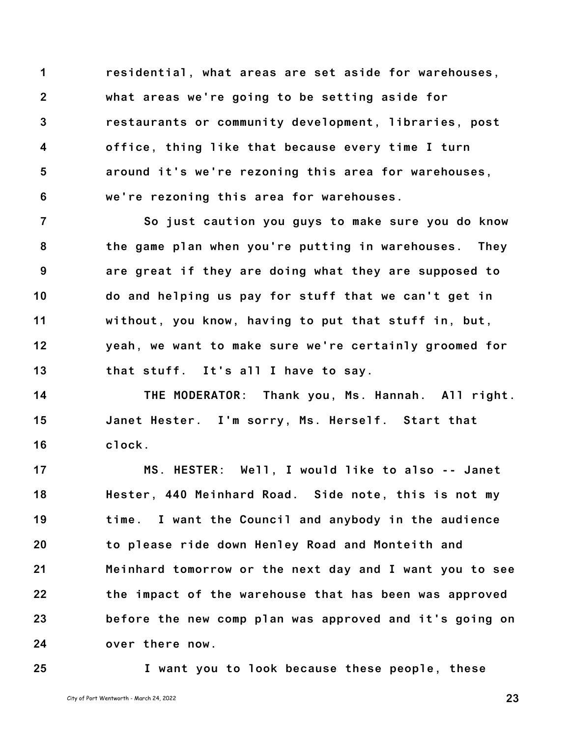**1 2 3 4 5 6 residential, what areas are set aside for warehouses, what areas we're going to be setting aside for restaurants or community development, libraries, post office, thing like that because every time I turn around it's we're rezoning this area for warehouses, we're rezoning this area for warehouses.**

**7 8 9 10 11 12 13 So just caution you guys to make sure you do know the game plan when you're putting in warehouses. They are great if they are doing what they are supposed to do and helping us pay for stuff that we can't get in without, you know, having to put that stuff in, but, yeah, we want to make sure we're certainly groomed for that stuff. It's all I have to say.**

**14 15 16 THE MODERATOR: Thank you, Ms. Hannah. All right. Janet Hester. I'm sorry, Ms. Herself. Start that clock.**

**17 18 19 20 21 22 23 24 MS. HESTER: Well, I would like to also -- Janet Hester, 440 Meinhard Road. Side note, this is not my time. I want the Council and anybody in the audience to please ride down Henley Road and Monteith and Meinhard tomorrow or the next day and I want you to see the impact of the warehouse that has been was approved before the new comp plan was approved and it's going on over there now.**

**25**

**I want you to look because these people, these**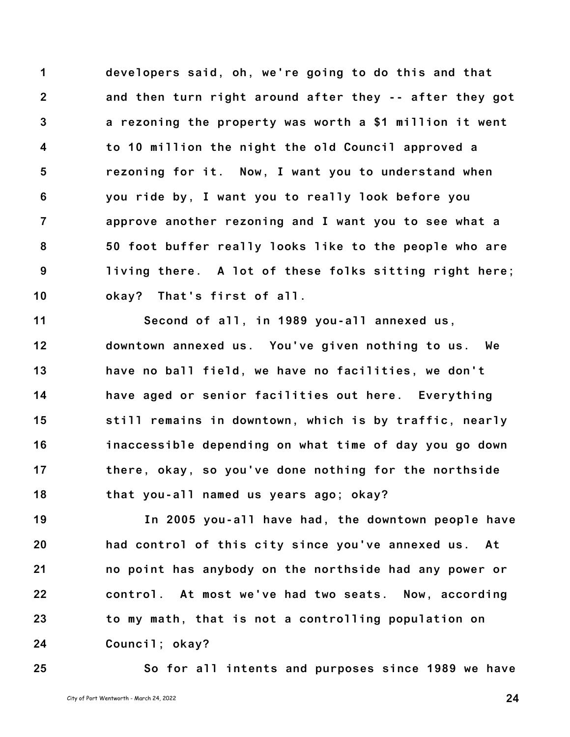**1 2 3 4 5 6 7 8 9 10 developers said, oh, we're going to do this and that and then turn right around after they -- after they got a rezoning the property was worth a \$1 million it went to 10 million the night the old Council approved a rezoning for it. Now, I want you to understand when you ride by, I want you to really look before you approve another rezoning and I want you to see what a 50 foot buffer really looks like to the people who are living there. A lot of these folks sitting right here; okay? That's first of all.**

**11 12 13 14 15 16 17 18 Second of all, in 1989 you-all annexed us, downtown annexed us. You've given nothing to us. We have no ball field, we have no facilities, we don't have aged or senior facilities out here. Everything still remains in downtown, which is by traffic, nearly inaccessible depending on what time of day you go down there, okay, so you've done nothing for the northside that you-all named us years ago; okay?**

**19 20 21 22 23 24 In 2005 you-all have had, the downtown people have had control of this city since you've annexed us. At no point has anybody on the northside had any power or control. At most we've had two seats. Now, according to my math, that is not a controlling population on Council; okay?**

**25 So for all intents and purposes since 1989 we have**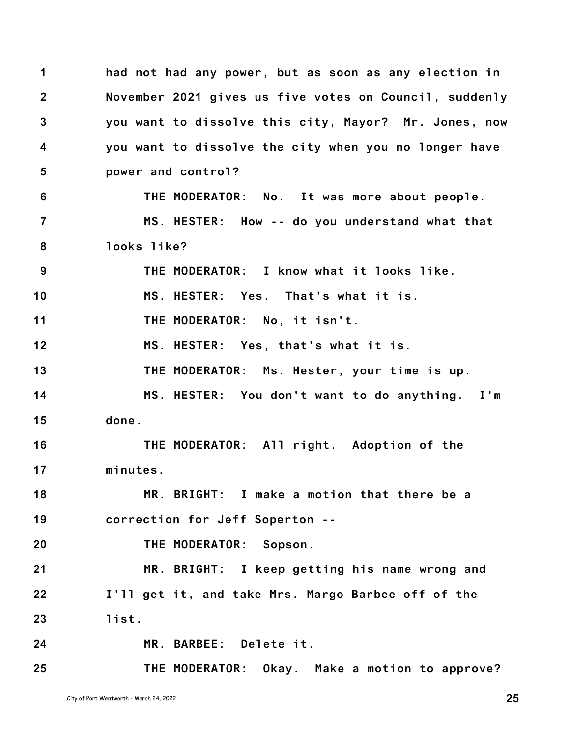**1 2 3 4 5 6 7 8 9 10 11 12 13 14 15 16 17 18 19 20 21 22 23 24 25 had not had any power, but as soon as any election in November 2021 gives us five votes on Council, suddenly you want to dissolve this city, Mayor? Mr. Jones, now you want to dissolve the city when you no longer have power and control? THE MODERATOR: No. It was more about people. MS. HESTER: How -- do you understand what that looks like? THE MODERATOR: I know what it looks like. MS. HESTER: Yes. That's what it is. THE MODERATOR: No, it isn't. MS. HESTER: Yes, that's what it is. THE MODERATOR: Ms. Hester, your time is up. MS. HESTER: You don't want to do anything. I'm done. THE MODERATOR: All right. Adoption of the minutes. MR. BRIGHT: I make a motion that there be a correction for Jeff Soperton -- THE MODERATOR: Sopson. MR. BRIGHT: I keep getting his name wrong and I'll get it, and take Mrs. Margo Barbee off of the list. MR. BARBEE: Delete it. THE MODERATOR: Okay. Make a motion to approve?**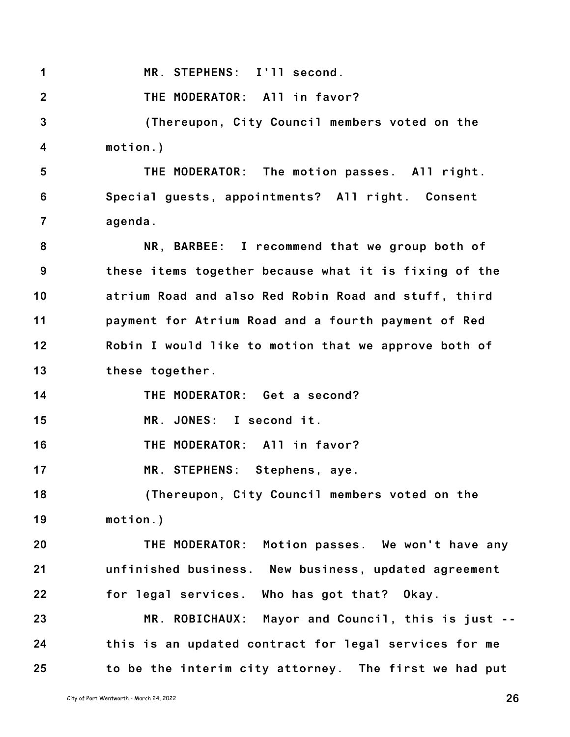**1 MR. STEPHENS: I'll second.**

**2 THE MODERATOR: All in favor?**

**3 4 (Thereupon, City Council members voted on the motion.)**

**5 6 7 THE MODERATOR: The motion passes. All right. Special guests, appointments? All right. Consent agenda.**

**8 9 10 11 12 13 NR, BARBEE: I recommend that we group both of these items together because what it is fixing of the atrium Road and also Red Robin Road and stuff, third payment for Atrium Road and a fourth payment of Red Robin I would like to motion that we approve both of these together.**

**14 THE MODERATOR: Get a second?**

**15 MR. JONES: I second it.**

**16 THE MODERATOR: All in favor?**

**17 MR. STEPHENS: Stephens, aye.**

**18 19 (Thereupon, City Council members voted on the motion.)**

**20 21 22 THE MODERATOR: Motion passes. We won't have any unfinished business. New business, updated agreement for legal services. Who has got that? Okay.**

**23 24 25 MR. ROBICHAUX: Mayor and Council, this is just - this is an updated contract for legal services for me to be the interim city attorney. The first we had put**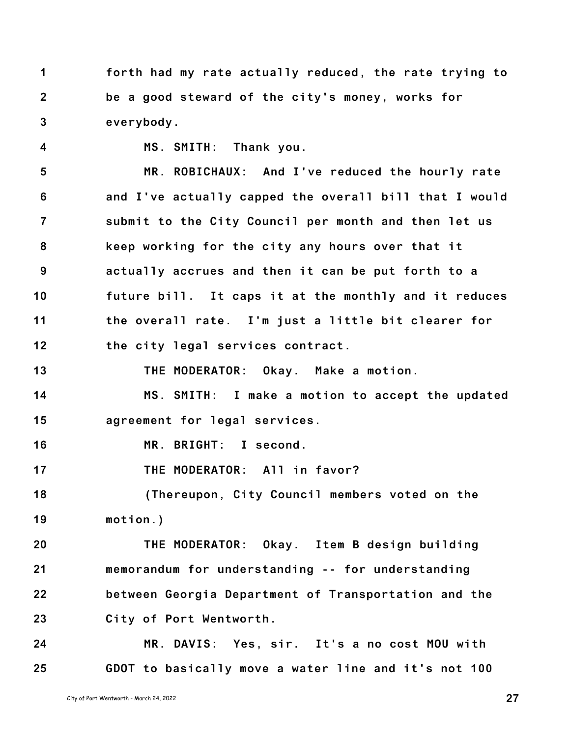**1 2 3 forth had my rate actually reduced, the rate trying to be a good steward of the city's money, works for everybody.**

**4**

**MS. SMITH: Thank you.**

**5 6 7 8 9 10 11 12 MR. ROBICHAUX: And I've reduced the hourly rate and I've actually capped the overall bill that I would submit to the City Council per month and then let us keep working for the city any hours over that it actually accrues and then it can be put forth to a future bill. It caps it at the monthly and it reduces the overall rate. I'm just a little bit clearer for the city legal services contract.**

**13 THE MODERATOR: Okay. Make a motion.**

**14 15 MS. SMITH: I make a motion to accept the updated agreement for legal services.**

**16 MR. BRIGHT: I second.**

**17 THE MODERATOR: All in favor?**

**18 19 (Thereupon, City Council members voted on the motion.)**

**20 21 22 23 THE MODERATOR: Okay. Item B design building memorandum for understanding -- for understanding between Georgia Department of Transportation and the City of Port Wentworth.**

**24 25 MR. DAVIS: Yes, sir. It's a no cost MOU with GDOT to basically move a water line and it's not 100**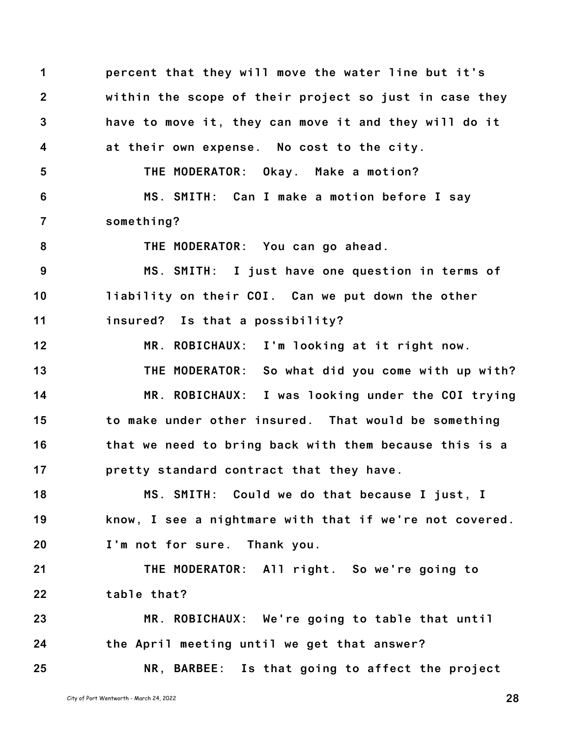**1 2 3 4 5 6 7 8 9 10 11 12 13 14 15 16 17 18 19 20 21 22 23 24 25 percent that they will move the water line but it's within the scope of their project so just in case they have to move it, they can move it and they will do it at their own expense. No cost to the city. THE MODERATOR: Okay. Make a motion? MS. SMITH: Can I make a motion before I say something? THE MODERATOR: You can go ahead. MS. SMITH: I just have one question in terms of liability on their COI. Can we put down the other insured? Is that a possibility? MR. ROBICHAUX: I'm looking at it right now. THE MODERATOR: So what did you come with up with? MR. ROBICHAUX: I was looking under the COI trying to make under other insured. That would be something that we need to bring back with them because this is a pretty standard contract that they have. MS. SMITH: Could we do that because I just, I know, I see a nightmare with that if we're not covered. I'm not for sure. Thank you. THE MODERATOR: All right. So we're going to table that? MR. ROBICHAUX: We're going to table that until the April meeting until we get that answer? NR, BARBEE: Is that going to affect the project**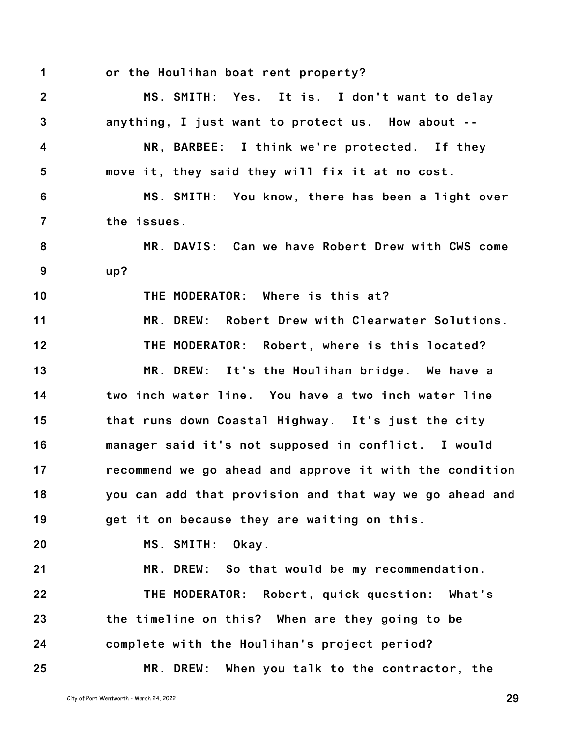**1 or the Houlihan boat rent property?**

**2 3 4 5 6 7 8 9 10 11 12 13 14 15 16 17 18 19 20 21 22 23 24 25 MS. SMITH: Yes. It is. I don't want to delay anything, I just want to protect us. How about -- NR, BARBEE: I think we're protected. If they move it, they said they will fix it at no cost. MS. SMITH: You know, there has been a light over the issues. MR. DAVIS: Can we have Robert Drew with CWS come up? THE MODERATOR: Where is this at? MR. DREW: Robert Drew with Clearwater Solutions. THE MODERATOR: Robert, where is this located? MR. DREW: It's the Houlihan bridge. We have a two inch water line. You have a two inch water line that runs down Coastal Highway. It's just the city manager said it's not supposed in conflict. I would recommend we go ahead and approve it with the condition you can add that provision and that way we go ahead and get it on because they are waiting on this. MS. SMITH: Okay. MR. DREW: So that would be my recommendation. THE MODERATOR: Robert, quick question: What's the timeline on this? When are they going to be complete with the Houlihan's project period? MR. DREW: When you talk to the contractor, the**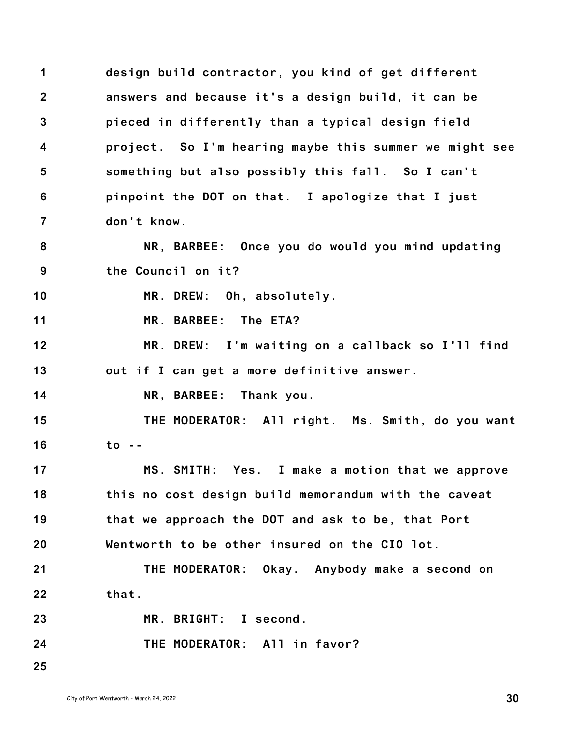**1 2 3 4 5 6 7 design build contractor, you kind of get different answers and because it's a design build, it can be pieced in differently than a typical design field project. So I'm hearing maybe this summer we might see something but also possibly this fall. So I can't pinpoint the DOT on that. I apologize that I just don't know.**

**8 9 NR, BARBEE: Once you do would you mind updating the Council on it?**

**10 MR. DREW: Oh, absolutely.**

**11 MR. BARBEE: The ETA?**

**12 13 MR. DREW: I'm waiting on a callback so I'll find out if I can get a more definitive answer.**

**14 NR, BARBEE: Thank you.**

**15 16 THE MODERATOR: All right. Ms. Smith, do you want to --**

**17 18 19 20 MS. SMITH: Yes. I make a motion that we approve this no cost design build memorandum with the caveat that we approach the DOT and ask to be, that Port Wentworth to be other insured on the CIO lot.**

**21 22 THE MODERATOR: Okay. Anybody make a second on that.**

**23 24 25 MR. BRIGHT: I second. THE MODERATOR: All in favor?**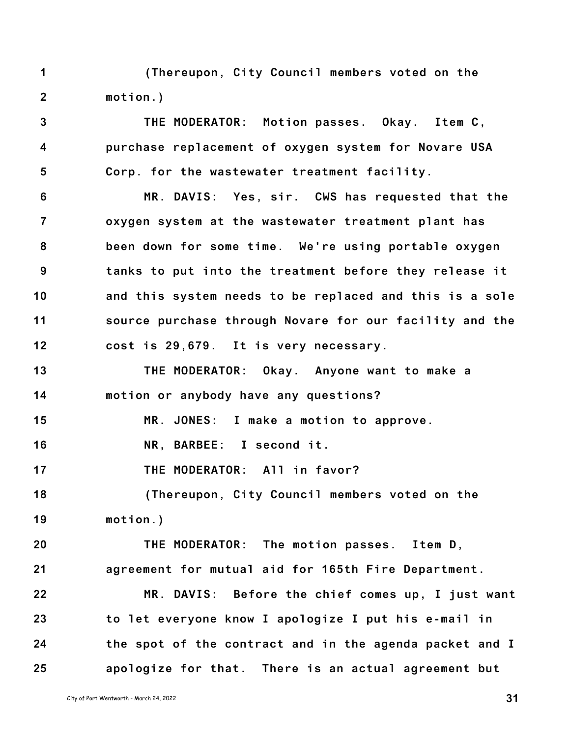**1 2 (Thereupon, City Council members voted on the motion.)**

**3 4 5 THE MODERATOR: Motion passes. Okay. Item C, purchase replacement of oxygen system for Novare USA Corp. for the wastewater treatment facility.**

**6 7 8 9 10 11 12 MR. DAVIS: Yes, sir. CWS has requested that the oxygen system at the wastewater treatment plant has been down for some time. We're using portable oxygen tanks to put into the treatment before they release it and this system needs to be replaced and this is a sole source purchase through Novare for our facility and the cost is 29,679. It is very necessary.**

**13 14 THE MODERATOR: Okay. Anyone want to make a motion or anybody have any questions?**

**15 MR. JONES: I make a motion to approve.**

**16 NR, BARBEE: I second it.**

**17 THE MODERATOR: All in favor?**

**18 19 (Thereupon, City Council members voted on the motion.)**

**20 21 THE MODERATOR: The motion passes. Item D, agreement for mutual aid for 165th Fire Department.**

**22 23 24 25 MR. DAVIS: Before the chief comes up, I just want to let everyone know I apologize I put his e-mail in the spot of the contract and in the agenda packet and I apologize for that. There is an actual agreement but**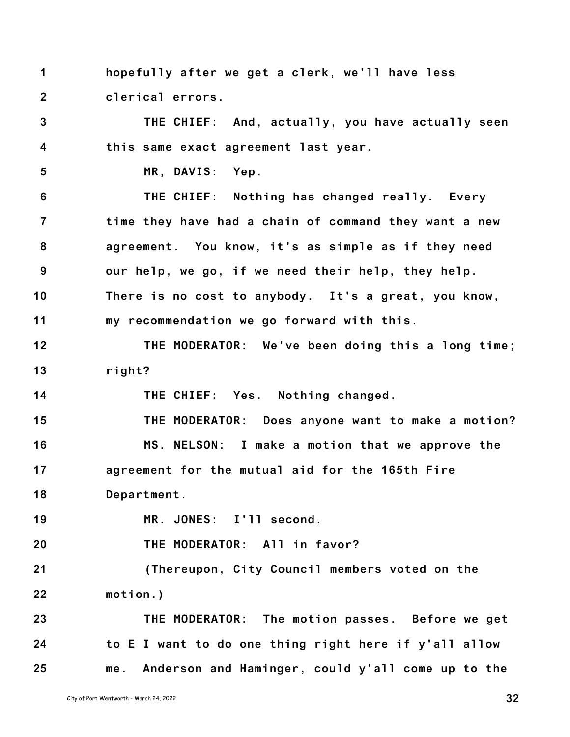**1 2 hopefully after we get a clerk, we'll have less clerical errors.**

**3 4 THE CHIEF: And, actually, you have actually seen this same exact agreement last year.**

**5**

**MR, DAVIS: Yep.**

**6 7 8 9 10 11 THE CHIEF: Nothing has changed really. Every time they have had a chain of command they want a new agreement. You know, it's as simple as if they need our help, we go, if we need their help, they help. There is no cost to anybody. It's a great, you know, my recommendation we go forward with this.**

**12 13 THE MODERATOR: We've been doing this a long time; right?**

**14 THE CHIEF: Yes. Nothing changed.**

**15 16 17 THE MODERATOR: Does anyone want to make a motion? MS. NELSON: I make a motion that we approve the agreement for the mutual aid for the 165th Fire**

**18 Department.**

**19 MR. JONES: I'll second.**

**20 THE MODERATOR: All in favor?**

**21 22 (Thereupon, City Council members voted on the motion.)**

**23 24 25 THE MODERATOR: The motion passes. Before we get to E I want to do one thing right here if y'all allow me. Anderson and Haminger, could y'all come up to the**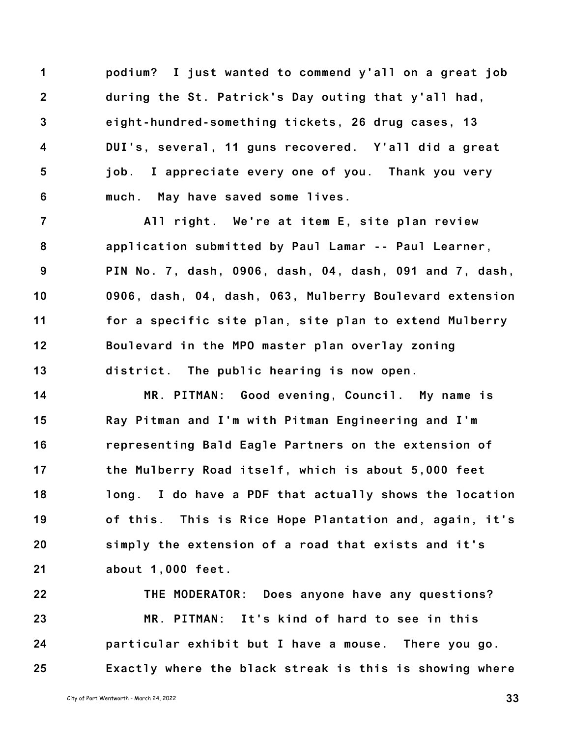**1 2 3 4 5 6 podium? I just wanted to commend y'all on a great job during the St. Patrick's Day outing that y'all had, eight-hundred-something tickets, 26 drug cases, 13 DUI's, several, 11 guns recovered. Y'all did a great job. I appreciate every one of you. Thank you very much. May have saved some lives.**

**7 8 9 10 11 12 13 All right. We're at item E, site plan review application submitted by Paul Lamar -- Paul Learner, PIN No. 7, dash, 0906, dash, 04, dash, 091 and 7, dash, 0906, dash, 04, dash, 063, Mulberry Boulevard extension for a specific site plan, site plan to extend Mulberry Boulevard in the MPO master plan overlay zoning district. The public hearing is now open.**

**14 15 16 17 18 19 20 21 MR. PITMAN: Good evening, Council. My name is Ray Pitman and I'm with Pitman Engineering and I'm representing Bald Eagle Partners on the extension of the Mulberry Road itself, which is about 5,000 feet long. I do have a PDF that actually shows the location of this. This is Rice Hope Plantation and, again, it's simply the extension of a road that exists and it's about 1,000 feet.**

**22 23 24 25 THE MODERATOR: Does anyone have any questions? MR. PITMAN: It's kind of hard to see in this particular exhibit but I have a mouse. There you go. Exactly where the black streak is this is showing where**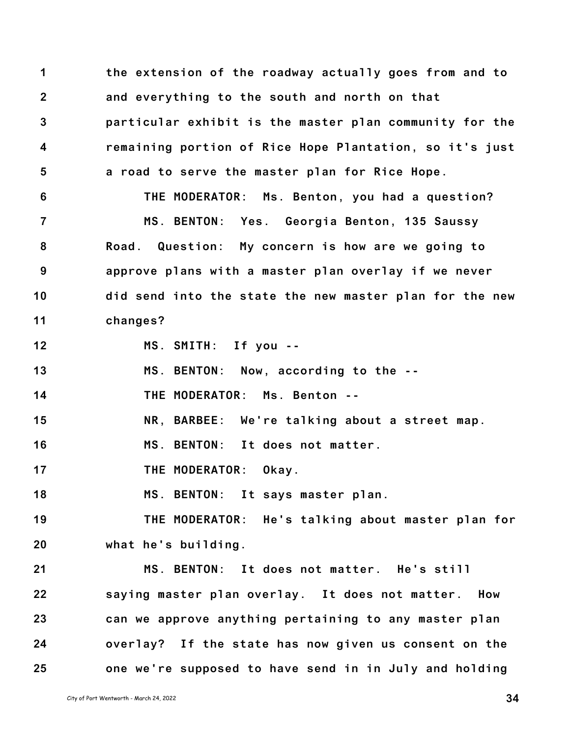**1 2 3 4 5 6 7 8 9 10 11 12 13 14 15 16 17 18 19 20 21 22 the extension of the roadway actually goes from and to and everything to the south and north on that particular exhibit is the master plan community for the remaining portion of Rice Hope Plantation, so it's just a road to serve the master plan for Rice Hope. THE MODERATOR: Ms. Benton, you had a question? MS. BENTON: Yes. Georgia Benton, 135 Saussy Road. Question: My concern is how are we going to approve plans with a master plan overlay if we never did send into the state the new master plan for the new changes? MS. SMITH: If you -- MS. BENTON: Now, according to the -- THE MODERATOR: Ms. Benton -- NR, BARBEE: We're talking about a street map. MS. BENTON: It does not matter. THE MODERATOR: Okay. MS. BENTON: It says master plan. THE MODERATOR: He's talking about master plan for what he's building. MS. BENTON: It does not matter. He's still saying master plan overlay. It does not matter. How**

**23 24 25 can we approve anything pertaining to any master plan overlay? If the state has now given us consent on the one we're supposed to have send in in July and holding**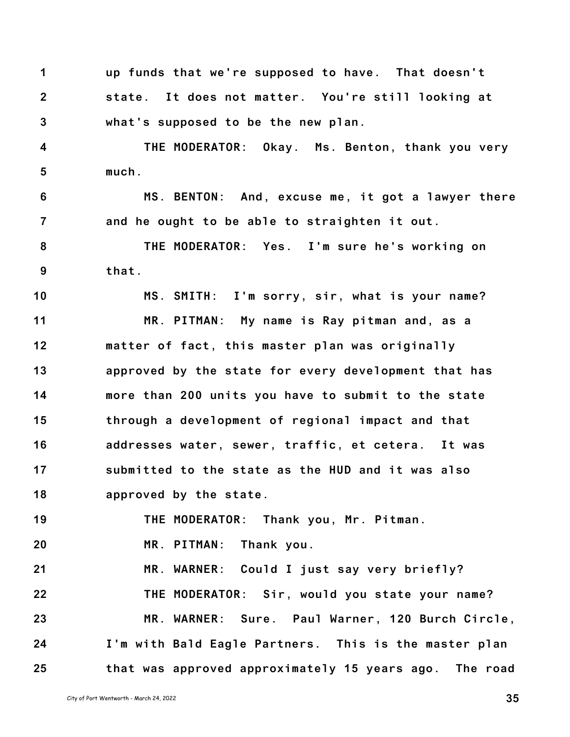**1 2 3 up funds that we're supposed to have. That doesn't state. It does not matter. You're still looking at what's supposed to be the new plan.**

**4 5 THE MODERATOR: Okay. Ms. Benton, thank you very much.**

**6 7 MS. BENTON: And, excuse me, it got a lawyer there and he ought to be able to straighten it out.**

**8 9 THE MODERATOR: Yes. I'm sure he's working on that.**

**10 11 12 13 14 15 16 17 18 MS. SMITH: I'm sorry, sir, what is your name? MR. PITMAN: My name is Ray pitman and, as a matter of fact, this master plan was originally approved by the state for every development that has more than 200 units you have to submit to the state through a development of regional impact and that addresses water, sewer, traffic, et cetera. It was submitted to the state as the HUD and it was also approved by the state.**

**19 THE MODERATOR: Thank you, Mr. Pitman.**

**20 MR. PITMAN: Thank you.**

**21 22 23 24 25 MR. WARNER: Could I just say very briefly? THE MODERATOR: Sir, would you state your name? MR. WARNER: Sure. Paul Warner, 120 Burch Circle, I'm with Bald Eagle Partners. This is the master plan that was approved approximately 15 years ago. The road**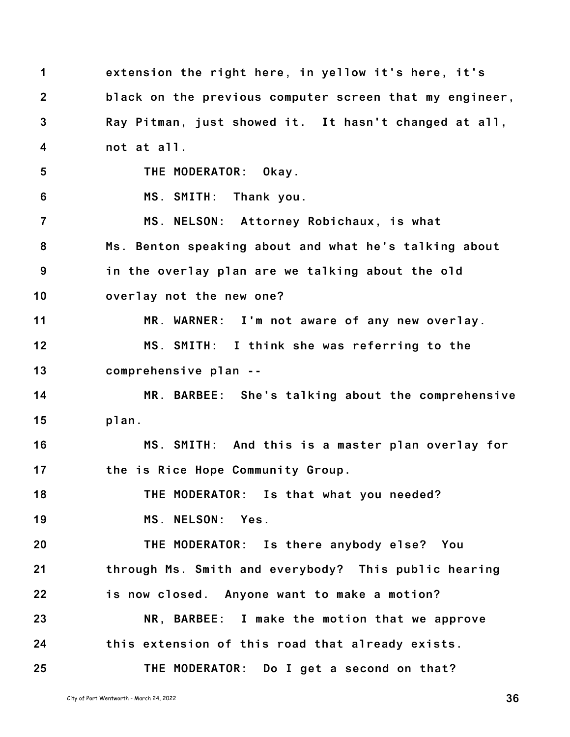**1 2 3 4 5 6 7 8 9 10 11 12 13 14 15 16 17 18 19 20 21 22 23 24 25 extension the right here, in yellow it's here, it's black on the previous computer screen that my engineer, Ray Pitman, just showed it. It hasn't changed at all, not at all. THE MODERATOR: Okay. MS. SMITH: Thank you. MS. NELSON: Attorney Robichaux, is what Ms. Benton speaking about and what he's talking about in the overlay plan are we talking about the old overlay not the new one? MR. WARNER: I'm not aware of any new overlay. MS. SMITH: I think she was referring to the comprehensive plan -- MR. BARBEE: She's talking about the comprehensive plan. MS. SMITH: And this is a master plan overlay for the is Rice Hope Community Group. THE MODERATOR: Is that what you needed? MS. NELSON: Yes. THE MODERATOR: Is there anybody else? You through Ms. Smith and everybody? This public hearing is now closed. Anyone want to make a motion? NR, BARBEE: I make the motion that we approve this extension of this road that already exists. THE MODERATOR: Do I get a second on that?**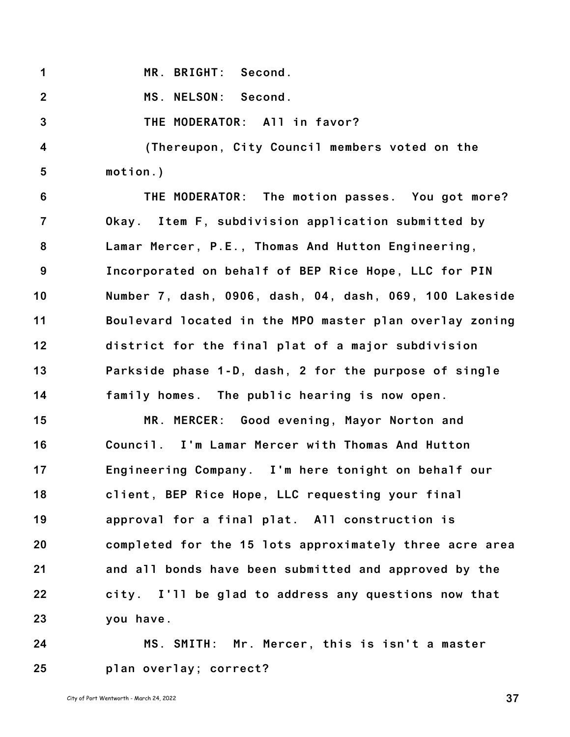**1 MR. BRIGHT: Second.**

**2 MS. NELSON: Second.**

**3 THE MODERATOR: All in favor?**

**4 5 (Thereupon, City Council members voted on the motion.)**

**6 7 8 9 10 11 12 13 14 THE MODERATOR: The motion passes. You got more? Okay. Item F, subdivision application submitted by Lamar Mercer, P.E., Thomas And Hutton Engineering, Incorporated on behalf of BEP Rice Hope, LLC for PIN Number 7, dash, 0906, dash, 04, dash, 069, 100 Lakeside Boulevard located in the MPO master plan overlay zoning district for the final plat of a major subdivision Parkside phase 1-D, dash, 2 for the purpose of single family homes. The public hearing is now open.**

**15 16 17 18 19 20 21 22 23 MR. MERCER: Good evening, Mayor Norton and Council. I'm Lamar Mercer with Thomas And Hutton Engineering Company. I'm here tonight on behalf our client, BEP Rice Hope, LLC requesting your final approval for a final plat. All construction is completed for the 15 lots approximately three acre area and all bonds have been submitted and approved by the city. I'll be glad to address any questions now that you have.**

**24 25 MS. SMITH: Mr. Mercer, this is isn't a master plan overlay; correct?**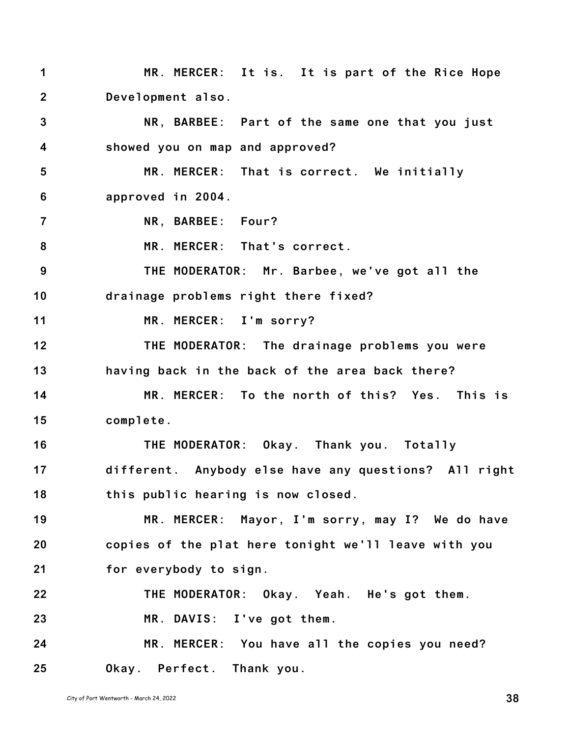**1 2 3 4 5 6 7 8 9 10 11 12 13 14 15 16 17 18 19 20 21 22 23 24 25 MR. MERCER: It is. It is part of the Rice Hope Development also. NR, BARBEE: Part of the same one that you just showed you on map and approved? MR. MERCER: That is correct. We initially approved in 2004. NR, BARBEE: Four? MR. MERCER: That's correct. THE MODERATOR: Mr. Barbee, we've got all the drainage problems right there fixed? MR. MERCER: I'm sorry? THE MODERATOR: The drainage problems you were having back in the back of the area back there? MR. MERCER: To the north of this? Yes. This is complete. THE MODERATOR: Okay. Thank you. Totally different. Anybody else have any questions? All right this public hearing is now closed. MR. MERCER: Mayor, I'm sorry, may I? We do have copies of the plat here tonight we'll leave with you for everybody to sign. THE MODERATOR: Okay. Yeah. He's got them. MR. DAVIS: I've got them. MR. MERCER: You have all the copies you need? Okay. Perfect. Thank you.**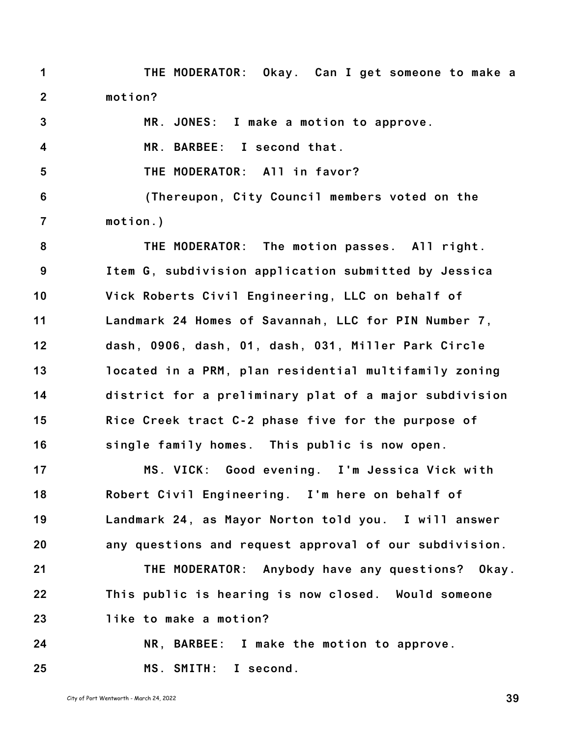**1 2 THE MODERATOR: Okay. Can I get someone to make a motion?**

**3 4 5 6 7 8 9 10 11 12 13 14 15 16 17 18 19 20 MR. JONES: I make a motion to approve. MR. BARBEE: I second that. THE MODERATOR: All in favor? (Thereupon, City Council members voted on the motion.) THE MODERATOR: The motion passes. All right. Item G, subdivision application submitted by Jessica Vick Roberts Civil Engineering, LLC on behalf of Landmark 24 Homes of Savannah, LLC for PIN Number 7, dash, 0906, dash, 01, dash, 031, Miller Park Circle located in a PRM, plan residential multifamily zoning district for a preliminary plat of a major subdivision Rice Creek tract C-2 phase five for the purpose of single family homes. This public is now open. MS. VICK: Good evening. I'm Jessica Vick with Robert Civil Engineering. I'm here on behalf of Landmark 24, as Mayor Norton told you. I will answer any questions and request approval of our subdivision.**

**21 22 23 THE MODERATOR: Anybody have any questions? Okay. This public is hearing is now closed. Would someone like to make a motion?**

**24 25 NR, BARBEE: I make the motion to approve. MS. SMITH: I second.**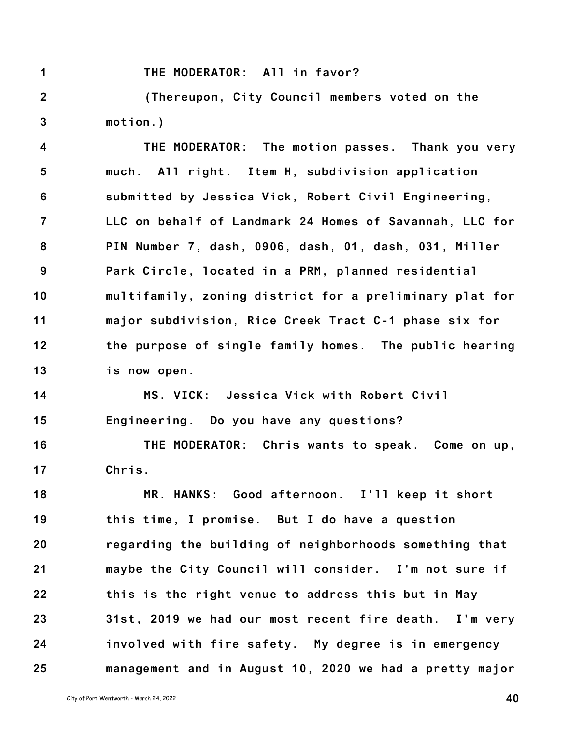**THE MODERATOR: All in favor?**

**1**

**2 3 (Thereupon, City Council members voted on the motion.)**

**4 5 6 7 8 9 10 11 12 13 THE MODERATOR: The motion passes. Thank you very much. All right. Item H, subdivision application submitted by Jessica Vick, Robert Civil Engineering, LLC on behalf of Landmark 24 Homes of Savannah, LLC for PIN Number 7, dash, 0906, dash, 01, dash, 031, Miller Park Circle, located in a PRM, planned residential multifamily, zoning district for a preliminary plat for major subdivision, Rice Creek Tract C-1 phase six for the purpose of single family homes. The public hearing is now open.**

**14 15 MS. VICK: Jessica Vick with Robert Civil Engineering. Do you have any questions?**

**16 17 THE MODERATOR: Chris wants to speak. Come on up, Chris.**

**18 19 20 21 22 23 24 25 MR. HANKS: Good afternoon. I'll keep it short this time, I promise. But I do have a question regarding the building of neighborhoods something that maybe the City Council will consider. I'm not sure if this is the right venue to address this but in May 31st, 2019 we had our most recent fire death. I'm very involved with fire safety. My degree is in emergency management and in August 10, 2020 we had a pretty major**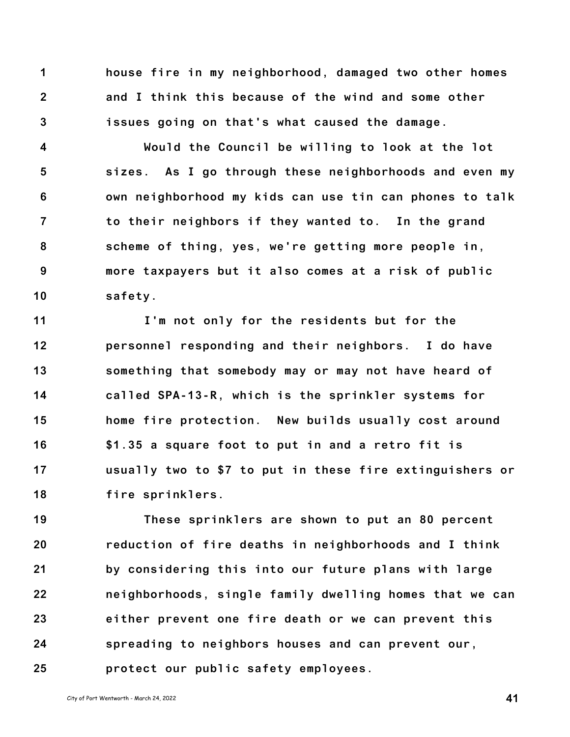**1 2 3 house fire in my neighborhood, damaged two other homes and I think this because of the wind and some other issues going on that's what caused the damage.**

**4 5 6 7 8 9 10 Would the Council be willing to look at the lot sizes. As I go through these neighborhoods and even my own neighborhood my kids can use tin can phones to talk to their neighbors if they wanted to. In the grand scheme of thing, yes, we're getting more people in, more taxpayers but it also comes at a risk of public safety.**

**11 12 13 14 15 16 17 18 I'm not only for the residents but for the personnel responding and their neighbors. I do have something that somebody may or may not have heard of called SPA-13-R, which is the sprinkler systems for home fire protection. New builds usually cost around \$1.35 a square foot to put in and a retro fit is usually two to \$7 to put in these fire extinguishers or fire sprinklers.**

**19 20 21 22 23 24 25 These sprinklers are shown to put an 80 percent reduction of fire deaths in neighborhoods and I think by considering this into our future plans with large neighborhoods, single family dwelling homes that we can either prevent one fire death or we can prevent this spreading to neighbors houses and can prevent our, protect our public safety employees.**

City of Port Wentworth - March 24, <sup>2022</sup> **41**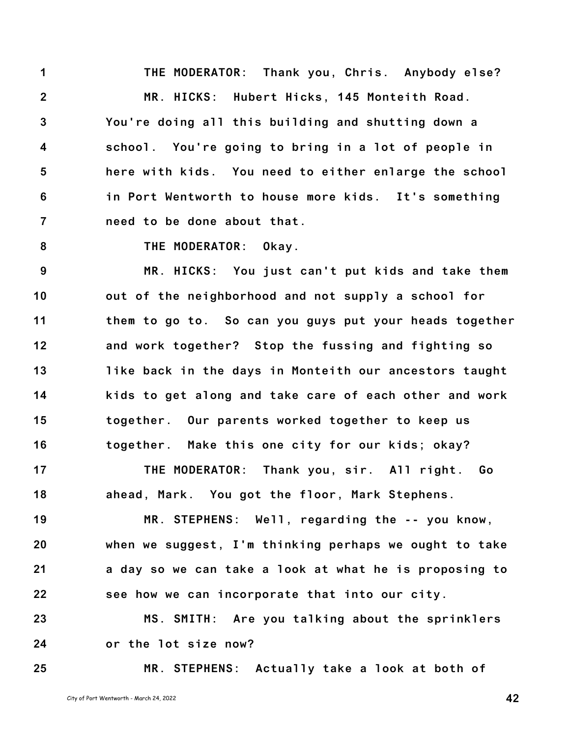**1 2 3 4 5 6 7 THE MODERATOR: Thank you, Chris. Anybody else? MR. HICKS: Hubert Hicks, 145 Monteith Road. You're doing all this building and shutting down a school. You're going to bring in a lot of people in here with kids. You need to either enlarge the school in Port Wentworth to house more kids. It's something need to be done about that.**

**8**

**THE MODERATOR: Okay.**

**9 10 11 12 13 14 15 16 MR. HICKS: You just can't put kids and take them out of the neighborhood and not supply a school for them to go to. So can you guys put your heads together and work together? Stop the fussing and fighting so like back in the days in Monteith our ancestors taught kids to get along and take care of each other and work together. Our parents worked together to keep us together. Make this one city for our kids; okay?**

**17 18 THE MODERATOR: Thank you, sir. All right. Go ahead, Mark. You got the floor, Mark Stephens.**

**19 20 21 22 MR. STEPHENS: Well, regarding the -- you know, when we suggest, I'm thinking perhaps we ought to take a day so we can take a look at what he is proposing to see how we can incorporate that into our city.**

**23 24 MS. SMITH: Are you talking about the sprinklers or the lot size now?**

**MR. STEPHENS: Actually take a look at both of**

**25**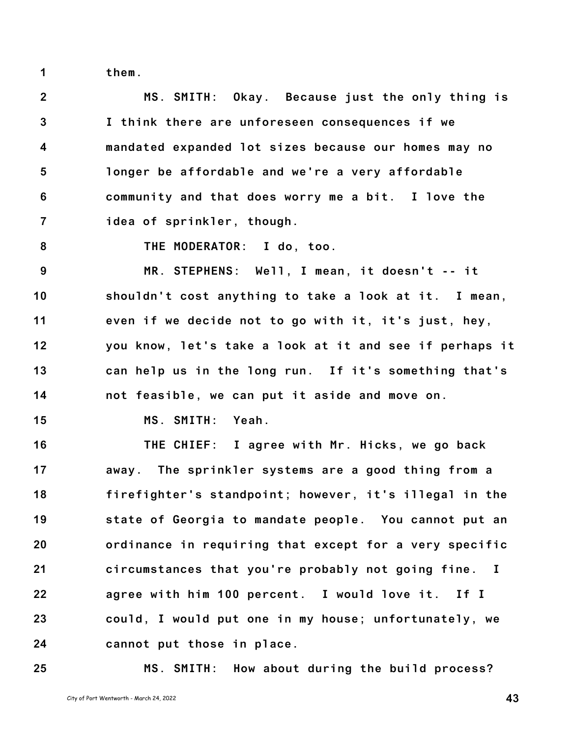**them.**

**2 3 4 5 6 7 MS. SMITH: Okay. Because just the only thing is I think there are unforeseen consequences if we mandated expanded lot sizes because our homes may no longer be affordable and we're a very affordable community and that does worry me a bit. I love the idea of sprinkler, though.**

**8**

**1**

**THE MODERATOR: I do, too.**

**9 10 11 12 13 14 MR. STEPHENS: Well, I mean, it doesn't -- it shouldn't cost anything to take a look at it. I mean, even if we decide not to go with it, it's just, hey, you know, let's take a look at it and see if perhaps it can help us in the long run. If it's something that's not feasible, we can put it aside and move on.**

**15 MS. SMITH: Yeah.**

**16 17 18 19 20 21 22 23 24 THE CHIEF: I agree with Mr. Hicks, we go back away. The sprinkler systems are a good thing from a firefighter's standpoint; however, it's illegal in the state of Georgia to mandate people. You cannot put an ordinance in requiring that except for a very specific circumstances that you're probably not going fine. I agree with him 100 percent. I would love it. If I could, I would put one in my house; unfortunately, we cannot put those in place.**

**25**

**MS. SMITH: How about during the build process?**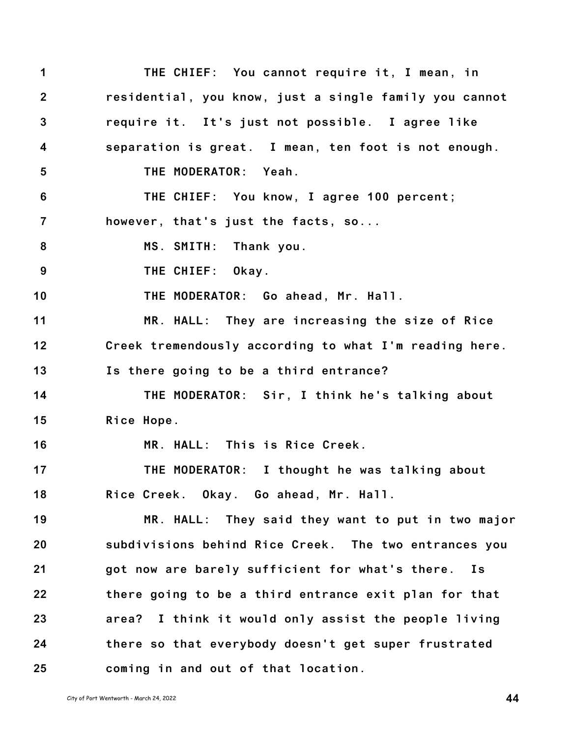**1 2 3 4 5 6 7 8 9 10 11 12 13 14 15 16 17 18 19 20 21 22 23 24 25 THE CHIEF: You cannot require it, I mean, in residential, you know, just a single family you cannot require it. It's just not possible. I agree like separation is great. I mean, ten foot is not enough. THE MODERATOR: Yeah. THE CHIEF: You know, I agree 100 percent; however, that's just the facts, so... MS. SMITH: Thank you. THE CHIEF: Okay. THE MODERATOR: Go ahead, Mr. Hall. MR. HALL: They are increasing the size of Rice Creek tremendously according to what I'm reading here. Is there going to be a third entrance? THE MODERATOR: Sir, I think he's talking about Rice Hope. MR. HALL: This is Rice Creek. THE MODERATOR: I thought he was talking about Rice Creek. Okay. Go ahead, Mr. Hall. MR. HALL: They said they want to put in two major subdivisions behind Rice Creek. The two entrances you got now are barely sufficient for what's there. Is there going to be a third entrance exit plan for that area? I think it would only assist the people living there so that everybody doesn't get super frustrated coming in and out of that location.**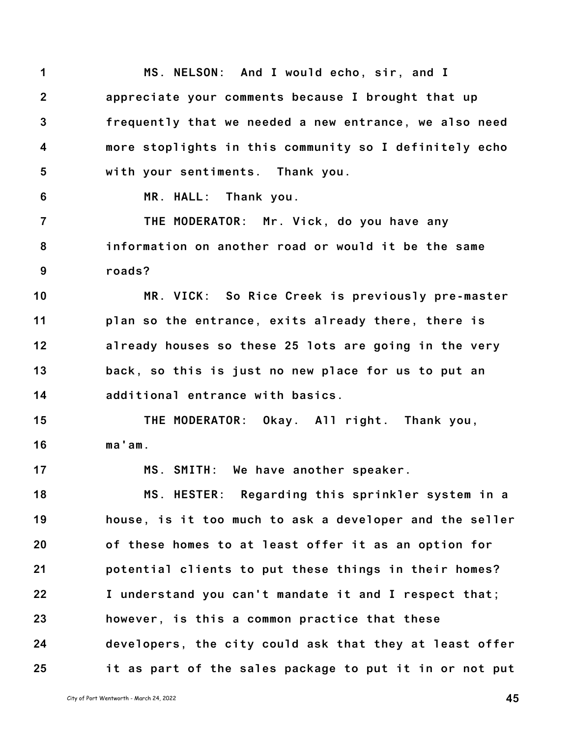**1 2 3 4 5 MS. NELSON: And I would echo, sir, and I appreciate your comments because I brought that up frequently that we needed a new entrance, we also need more stoplights in this community so I definitely echo with your sentiments. Thank you.**

**6**

**17**

**MR. HALL: Thank you.**

**7 8 9 THE MODERATOR: Mr. Vick, do you have any information on another road or would it be the same roads?**

**10 11 12 13 14 MR. VICK: So Rice Creek is previously pre-master plan so the entrance, exits already there, there is already houses so these 25 lots are going in the very back, so this is just no new place for us to put an additional entrance with basics.**

**15 16 THE MODERATOR: Okay. All right. Thank you, ma'am.**

**MS. SMITH: We have another speaker.**

**18 19 20 21 22 23 24 25 MS. HESTER: Regarding this sprinkler system in a house, is it too much to ask a developer and the seller of these homes to at least offer it as an option for potential clients to put these things in their homes? I understand you can't mandate it and I respect that; however, is this a common practice that these developers, the city could ask that they at least offer it as part of the sales package to put it in or not put**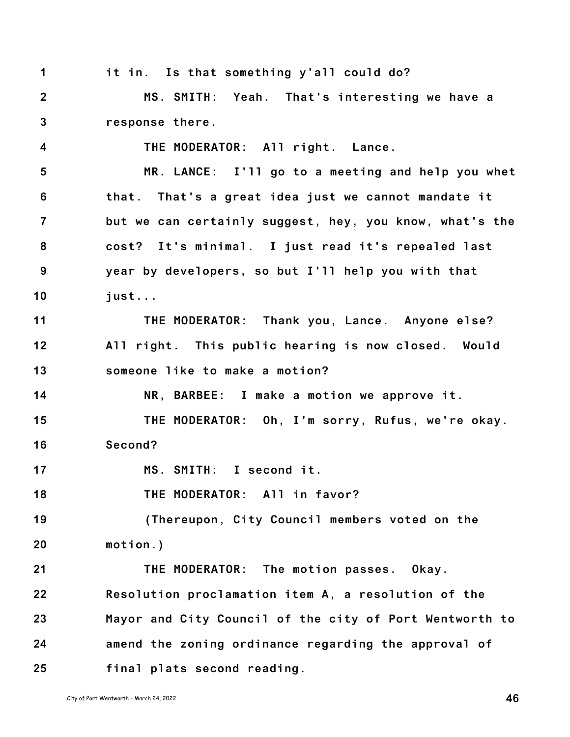| 1                       | it in. Is that something y'all could do?                |
|-------------------------|---------------------------------------------------------|
| $\overline{2}$          | MS. SMITH: Yeah. That's interesting we have a           |
| $\mathbf{3}$            | response there.                                         |
| $\overline{\mathbf{4}}$ | THE MODERATOR: All right. Lance.                        |
| $5\phantom{.0}$         | MR. LANCE: I'll go to a meeting and help you whet       |
| $6\phantom{1}6$         | that. That's a great idea just we cannot mandate it     |
| $\overline{7}$          | but we can certainly suggest, hey, you know, what's the |
| $\boldsymbol{8}$        | cost? It's minimal. I just read it's repealed last      |
| 9                       | year by developers, so but I'll help you with that      |
| 10                      | just                                                    |
| 11                      | THE MODERATOR: Thank you, Lance. Anyone else?           |
| 12                      | All right. This public hearing is now closed. Would     |
| 13                      | someone like to make a motion?                          |
| 14                      | NR, BARBEE: I make a motion we approve it.              |
| 15                      | THE MODERATOR: Oh, I'm sorry, Rufus, we're okay.        |
| 16                      | Second?                                                 |
| 17                      | MS. SMITH: I second it.                                 |
| 18                      | THE MODERATOR: All in favor?                            |
| 19                      | (Thereupon, City Council members voted on the           |
| 20                      | $motion.$ )                                             |
| 21                      | THE MODERATOR: The motion passes. Okay.                 |
| 22                      | Resolution proclamation item A, a resolution of the     |
| 23                      | Mayor and City Council of the city of Port Wentworth to |
| 24                      | amend the zoning ordinance regarding the approval of    |
| 25                      | final plats second reading.                             |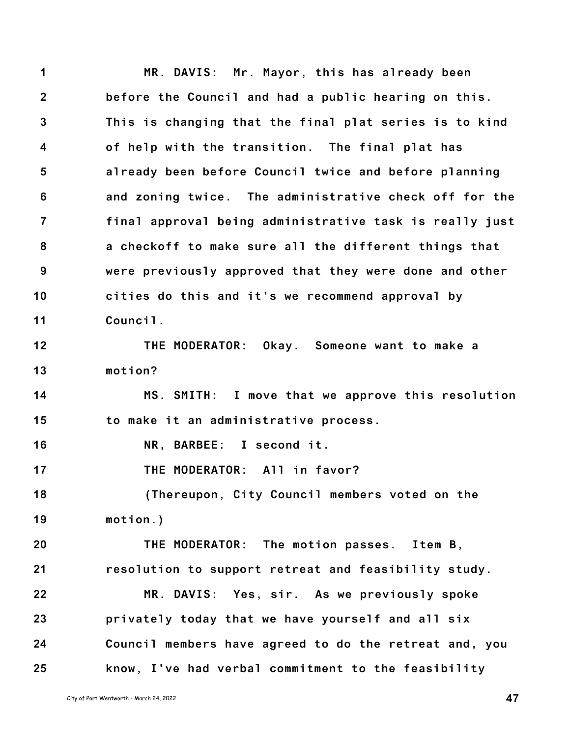**1 2 3 4 5 6 7 8 9 10 11 12 13 14 15 16 17 18 19 20 21 22 23 24 25 MR. DAVIS: Mr. Mayor, this has already been before the Council and had a public hearing on this. This is changing that the final plat series is to kind of help with the transition. The final plat has already been before Council twice and before planning and zoning twice. The administrative check off for the final approval being administrative task is really just a checkoff to make sure all the different things that were previously approved that they were done and other cities do this and it's we recommend approval by Council. THE MODERATOR: Okay. Someone want to make a motion? MS. SMITH: I move that we approve this resolution to make it an administrative process. NR, BARBEE: I second it. THE MODERATOR: All in favor? (Thereupon, City Council members voted on the motion.) THE MODERATOR: The motion passes. Item B, resolution to support retreat and feasibility study. MR. DAVIS: Yes, sir. As we previously spoke privately today that we have yourself and all six Council members have agreed to do the retreat and, you know, I've had verbal commitment to the feasibility**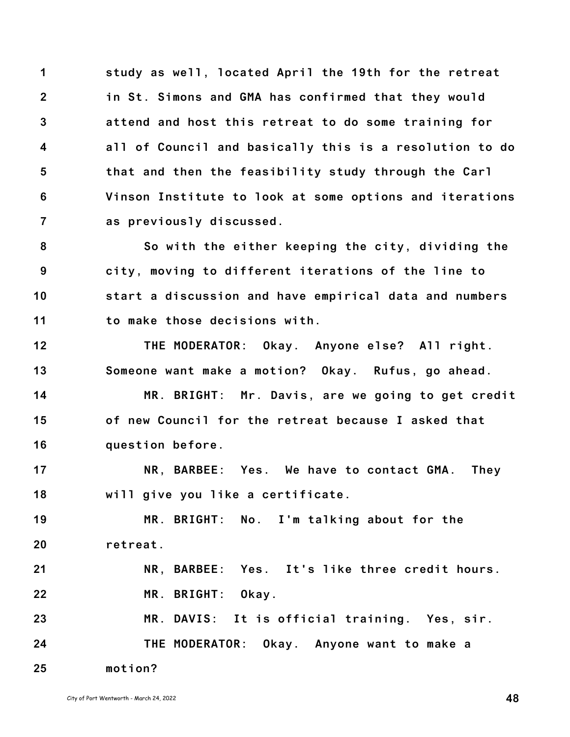**1 2 3 4 5 6 7 study as well, located April the 19th for the retreat in St. Simons and GMA has confirmed that they would attend and host this retreat to do some training for all of Council and basically this is a resolution to do that and then the feasibility study through the Carl Vinson Institute to look at some options and iterations as previously discussed.**

**8 9 10 11 So with the either keeping the city, dividing the city, moving to different iterations of the line to start a discussion and have empirical data and numbers to make those decisions with.**

**12 13 THE MODERATOR: Okay. Anyone else? All right. Someone want make a motion? Okay. Rufus, go ahead.**

**14 15 16 MR. BRIGHT: Mr. Davis, are we going to get credit of new Council for the retreat because I asked that question before.**

**17 18 NR, BARBEE: Yes. We have to contact GMA. They will give you like a certificate.**

**19 20 MR. BRIGHT: No. I'm talking about for the retreat.**

**21 22 NR, BARBEE: Yes. It's like three credit hours. MR. BRIGHT: Okay.**

**23 24 25 MR. DAVIS: It is official training. Yes, sir. THE MODERATOR: Okay. Anyone want to make a motion?**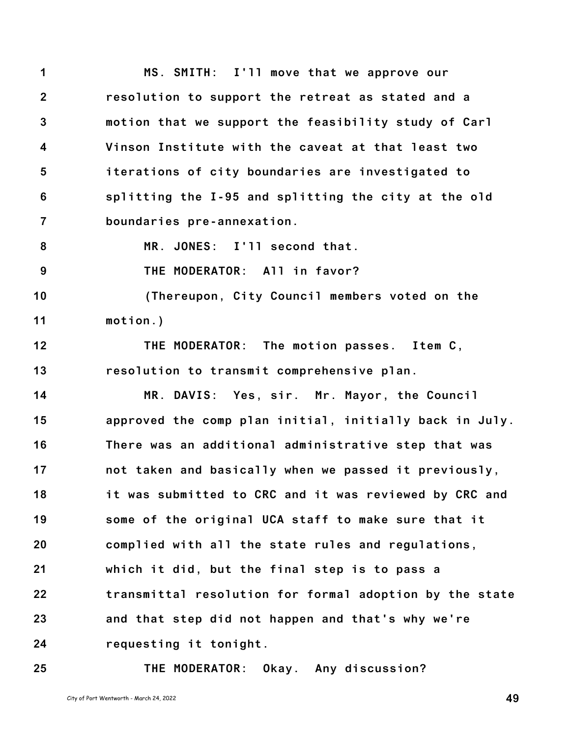**1 2 3 4 5 6 7 8 MS. SMITH: I'll move that we approve our resolution to support the retreat as stated and a motion that we support the feasibility study of Carl Vinson Institute with the caveat at that least two iterations of city boundaries are investigated to splitting the I-95 and splitting the city at the old boundaries pre-annexation. MR. JONES: I'll second that.**

**9 THE MODERATOR: All in favor?**

**10 11 (Thereupon, City Council members voted on the motion.)**

**12 13 THE MODERATOR: The motion passes. Item C, resolution to transmit comprehensive plan.**

**14 15 16 17 18 19 20 21 22 23 24 MR. DAVIS: Yes, sir. Mr. Mayor, the Council approved the comp plan initial, initially back in July. There was an additional administrative step that was not taken and basically when we passed it previously, it was submitted to CRC and it was reviewed by CRC and some of the original UCA staff to make sure that it complied with all the state rules and regulations, which it did, but the final step is to pass a transmittal resolution for formal adoption by the state and that step did not happen and that's why we're requesting it tonight.**

**25**

**THE MODERATOR: Okay. Any discussion?**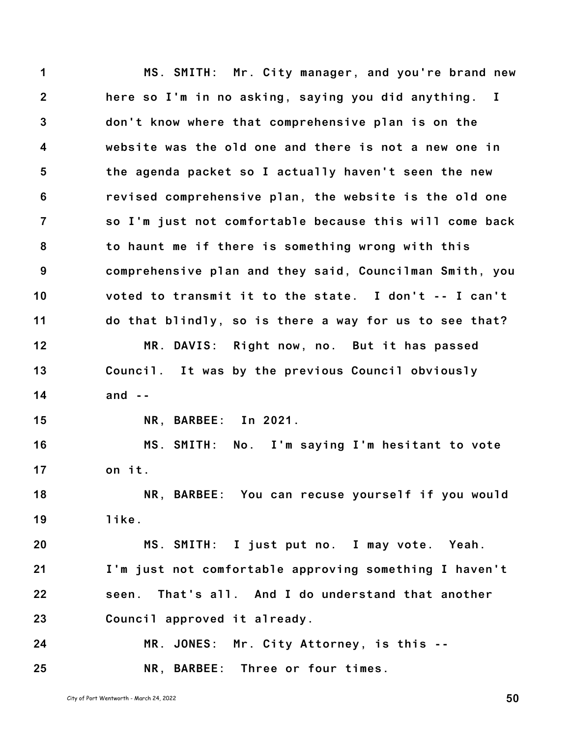**1 2 3 4 5 6 7 8 9 10 11 12 13 14 15 16 17 18 19 20 21 22 23 24 25 MS. SMITH: Mr. City manager, and you're brand new here so I'm in no asking, saying you did anything. I don't know where that comprehensive plan is on the website was the old one and there is not a new one in the agenda packet so I actually haven't seen the new revised comprehensive plan, the website is the old one so I'm just not comfortable because this will come back to haunt me if there is something wrong with this comprehensive plan and they said, Councilman Smith, you voted to transmit it to the state. I don't -- I can't do that blindly, so is there a way for us to see that? MR. DAVIS: Right now, no. But it has passed Council. It was by the previous Council obviously and -- NR, BARBEE: In 2021. MS. SMITH: No. I'm saying I'm hesitant to vote on it. NR, BARBEE: You can recuse yourself if you would like. MS. SMITH: I just put no. I may vote. Yeah. I'm just not comfortable approving something I haven't seen. That's all. And I do understand that another Council approved it already. MR. JONES: Mr. City Attorney, is this -- NR, BARBEE: Three or four times.**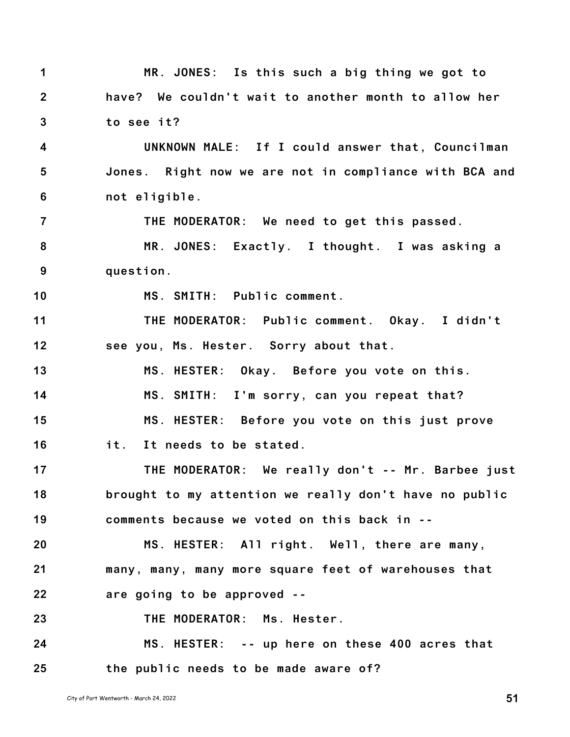| 1                       | MR. JONES: Is this such a big thing we got to          |
|-------------------------|--------------------------------------------------------|
| $\mathbf{2}$            | have? We couldn't wait to another month to allow her   |
| $\mathbf{3}$            | to see it?                                             |
| $\overline{\mathbf{4}}$ | UNKNOWN MALE: If I could answer that, Councilman       |
| $\overline{5}$          | Jones. Right now we are not in compliance with BCA and |
| $6\phantom{1}$          | not eligible.                                          |
| $\overline{7}$          | THE MODERATOR: We need to get this passed.             |
| 8                       | MR. JONES: Exactly. I thought. I was asking a          |
| 9                       | question.                                              |
| 10                      | MS. SMITH: Public comment.                             |
| 11                      | THE MODERATOR: Public comment. Okay. I didn't          |
| 12                      | see you, Ms. Hester. Sorry about that.                 |
| 13                      | MS. HESTER: Okay. Before you vote on this.             |
| 14                      | MS. SMITH: I'm sorry, can you repeat that?             |
| 15                      | MS. HESTER: Before you vote on this just prove         |
| 16                      | it. It needs to be stated.                             |
| 17                      | THE MODERATOR: We really don't -- Mr. Barbee just      |
| 18                      | brought to my attention we really don't have no public |
| 19                      | comments because we voted on this back in --           |
| 20                      | MS. HESTER: All right. Well, there are many,           |
| 21                      | many, many, many more square feet of warehouses that   |
| 22                      | are going to be approved --                            |
| 23                      | THE MODERATOR: Ms. Hester.                             |
| 24                      | MS. HESTER: -- up here on these 400 acres that         |
| 25                      | the public needs to be made aware of?                  |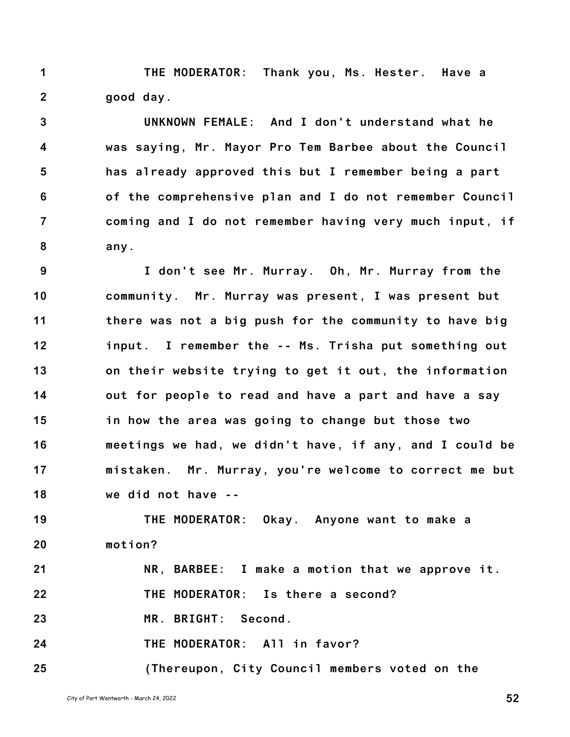**1 2 THE MODERATOR: Thank you, Ms. Hester. Have a good day.**

**3 4 5 6 7 8 UNKNOWN FEMALE: And I don't understand what he was saying, Mr. Mayor Pro Tem Barbee about the Council has already approved this but I remember being a part of the comprehensive plan and I do not remember Council coming and I do not remember having very much input, if any.**

**9 10 11 12 13 14 15 16 17 18 I don't see Mr. Murray. Oh, Mr. Murray from the community. Mr. Murray was present, I was present but there was not a big push for the community to have big input. I remember the -- Ms. Trisha put something out on their website trying to get it out, the information out for people to read and have a part and have a say in how the area was going to change but those two meetings we had, we didn't have, if any, and I could be mistaken. Mr. Murray, you're welcome to correct me but we did not have --**

**19 20 THE MODERATOR: Okay. Anyone want to make a motion?**

**21 22 NR, BARBEE: I make a motion that we approve it. THE MODERATOR: Is there a second?**

**23 MR. BRIGHT: Second.**

**24 THE MODERATOR: All in favor?**

**25 (Thereupon, City Council members voted on the**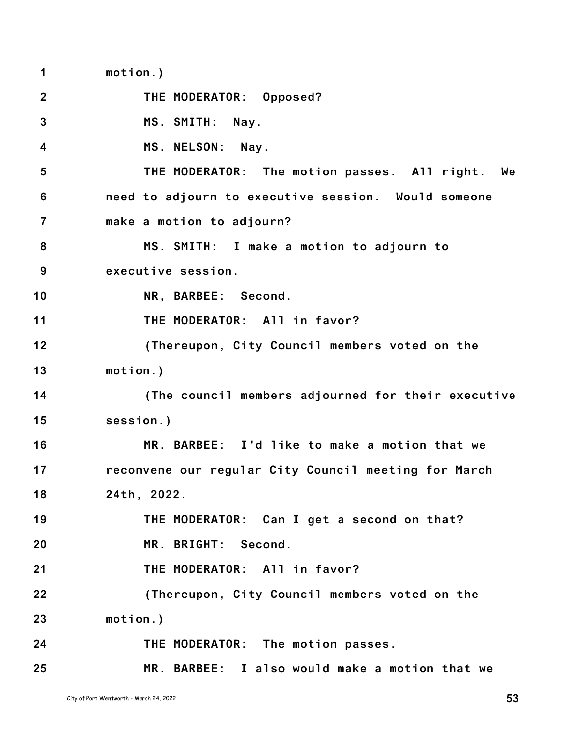**1 2 3 4 5 6 7 8 9 10 11 12 13 14 15 16 17 18 19 20 21 22 23 24 25 motion.) THE MODERATOR: Opposed? MS. SMITH: Nay. MS. NELSON: Nay. THE MODERATOR: The motion passes. All right. We need to adjourn to executive session. Would someone make a motion to adjourn? MS. SMITH: I make a motion to adjourn to executive session. NR, BARBEE: Second. THE MODERATOR: All in favor? (Thereupon, City Council members voted on the motion.) (The council members adjourned for their executive session.) MR. BARBEE: I'd like to make a motion that we reconvene our regular City Council meeting for March 24th, 2022. THE MODERATOR: Can I get a second on that? MR. BRIGHT: Second. THE MODERATOR: All in favor? (Thereupon, City Council members voted on the motion.) THE MODERATOR: The motion passes. MR. BARBEE: I also would make a motion that we**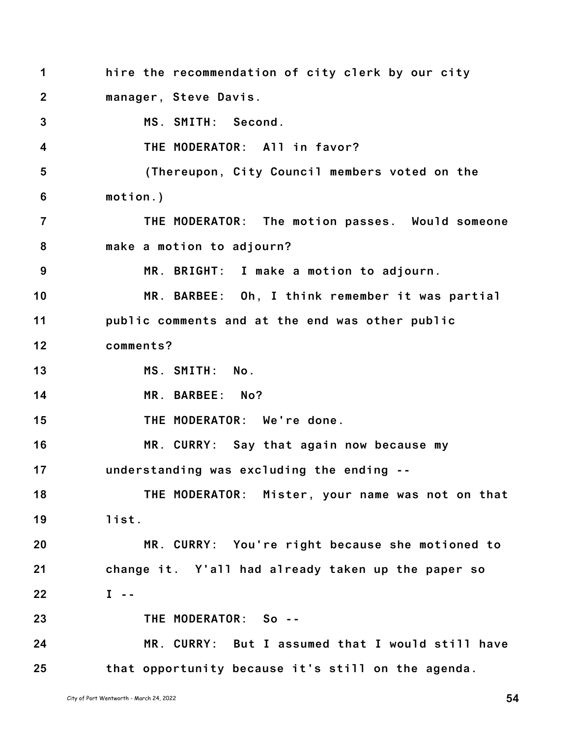**1 2 3 4 5 6 7 8 9 10 11 12 13 14 15 16 17 18 19 20 21 22 23 24 25 hire the recommendation of city clerk by our city manager, Steve Davis. MS. SMITH: Second. THE MODERATOR: All in favor? (Thereupon, City Council members voted on the motion.) THE MODERATOR: The motion passes. Would someone make a motion to adjourn? MR. BRIGHT: I make a motion to adjourn. MR. BARBEE: Oh, I think remember it was partial public comments and at the end was other public comments? MS. SMITH: No. MR. BARBEE: No? THE MODERATOR: We're done. MR. CURRY: Say that again now because my understanding was excluding the ending -- THE MODERATOR: Mister, your name was not on that list. MR. CURRY: You're right because she motioned to change it. Y'all had already taken up the paper so I -- THE MODERATOR: So -- MR. CURRY: But I assumed that I would still have that opportunity because it's still on the agenda.**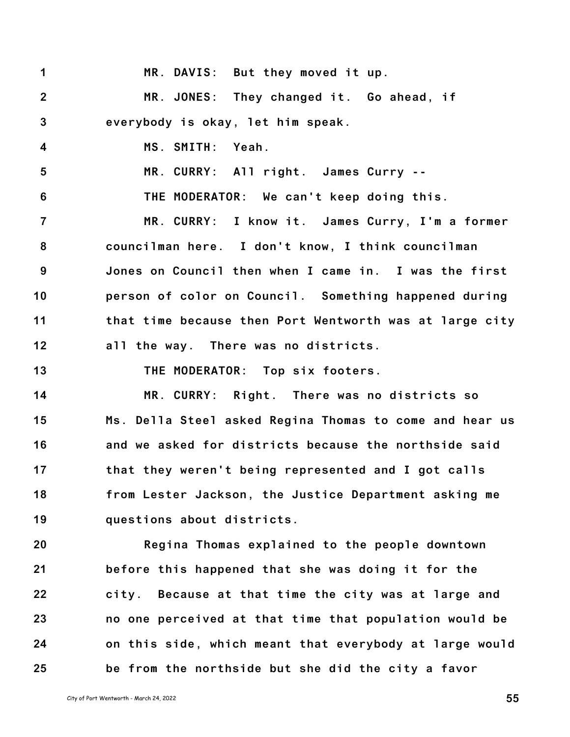| 1               | MR. DAVIS: But they moved it up.                        |
|-----------------|---------------------------------------------------------|
| $\overline{2}$  | MR. JONES: They changed it. Go ahead, if                |
| $\mathbf{3}$    | everybody is okay, let him speak.                       |
| 4               | MS. SMITH:<br>Yeah.                                     |
| $5\phantom{.0}$ | MR. CURRY: All right. James Curry --                    |
| 6               | THE MODERATOR: We can't keep doing this.                |
| $\overline{7}$  | MR. CURRY: I know it. James Curry, I'm a former         |
| 8               | councilman here. I don't know, I think councilman       |
| 9               | Jones on Council then when I came in. I was the first   |
| 10              | person of color on Council. Something happened during   |
| 11              | that time because then Port Wentworth was at large city |
| 12              | all the way. There was no districts.                    |
| 13              | THE MODERATOR: Top six footers.                         |
| 14              | MR. CURRY: Right. There was no districts so             |
| 15              | Ms. Della Steel asked Regina Thomas to come and hear us |
| 16              | and we asked for districts because the northside said   |
| 17              | that they weren't being represented and I got calls     |
| 18              | from Lester Jackson, the Justice Department asking me   |
| 19              | questions about districts.                              |
| 20              | Regina Thomas explained to the people downtown          |
| 21              | before this happened that she was doing it for the      |
| 22              | city. Because at that time the city was at large and    |
| 23              | no one perceived at that time that population would be  |
| 24              | on this side, which meant that everybody at large would |
| 25              | be from the northside but she did the city a favor      |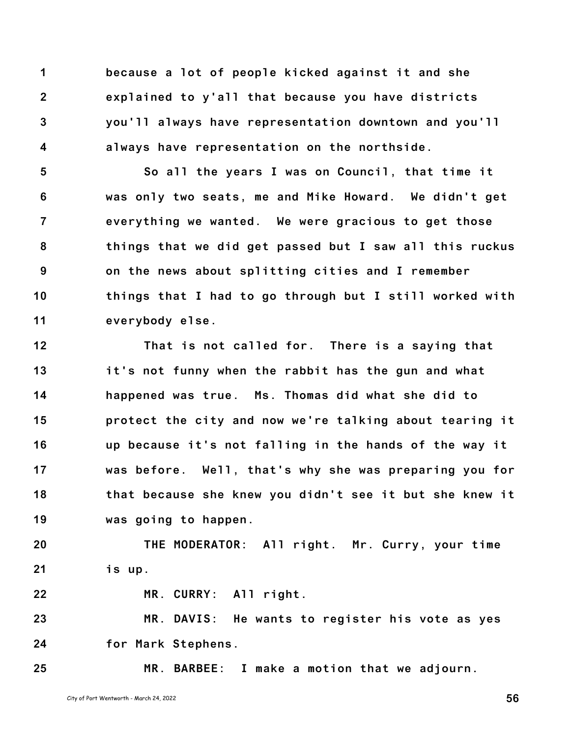**1 2 3 4 because a lot of people kicked against it and she explained to y'all that because you have districts you'll always have representation downtown and you'll always have representation on the northside.**

**5 6 7 8 9 10 11 So all the years I was on Council, that time it was only two seats, me and Mike Howard. We didn't get everything we wanted. We were gracious to get those things that we did get passed but I saw all this ruckus on the news about splitting cities and I remember things that I had to go through but I still worked with everybody else.**

**12 13 14 15 16 17 18 19 That is not called for. There is a saying that it's not funny when the rabbit has the gun and what happened was true. Ms. Thomas did what she did to protect the city and now we're talking about tearing it up because it's not falling in the hands of the way it was before. Well, that's why she was preparing you for that because she knew you didn't see it but she knew it was going to happen.**

**20 21 THE MODERATOR: All right. Mr. Curry, your time is up.**

**MR. CURRY: All right.**

**23 24 MR. DAVIS: He wants to register his vote as yes for Mark Stephens.**

**25**

**22**

**MR. BARBEE: I make a motion that we adjourn.**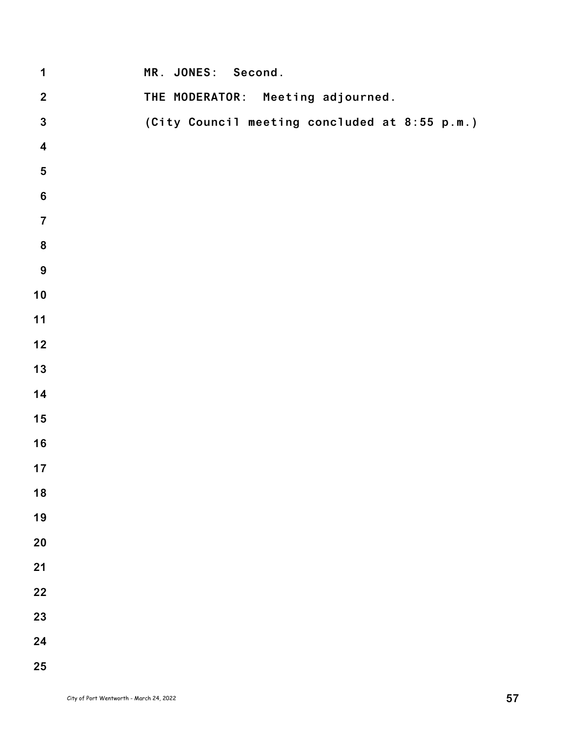| $\mathbf 1$             | MR. JONES: Second.                            |
|-------------------------|-----------------------------------------------|
| $\boldsymbol{2}$        | THE MODERATOR: Meeting adjourned.             |
| $\mathbf{3}$            | (City Council meeting concluded at 8:55 p.m.) |
| $\overline{\mathbf{4}}$ |                                               |
| ${\bf 5}$               |                                               |
| $\bf 6$                 |                                               |
| $\overline{7}$          |                                               |
| $\pmb{8}$               |                                               |
| $\boldsymbol{9}$        |                                               |
| 10                      |                                               |
| $11$                    |                                               |
| 12                      |                                               |
| 13                      |                                               |
| 14                      |                                               |
| 15                      |                                               |
| 16                      |                                               |
| 17                      |                                               |
| 18                      |                                               |
| 19                      |                                               |
| 20                      |                                               |
| 21                      |                                               |
| 22                      |                                               |
| 23                      |                                               |
| 24                      |                                               |
| 25                      |                                               |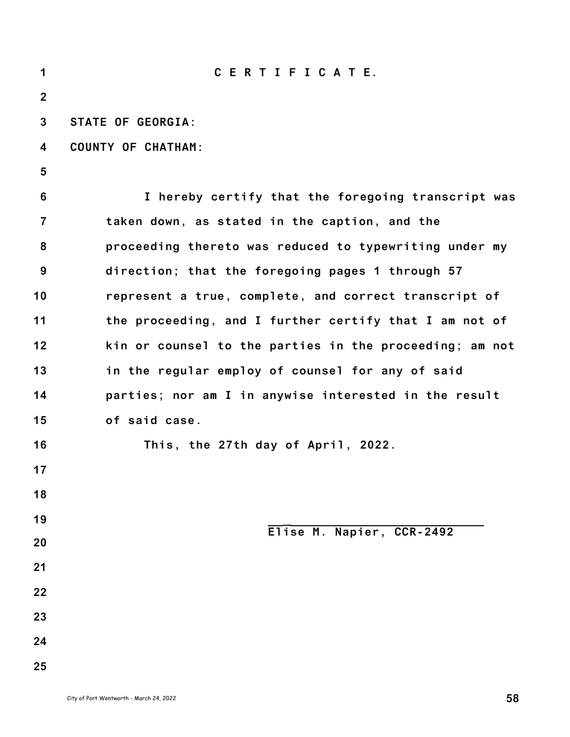| 1              | CERTIFICATE.                                            |
|----------------|---------------------------------------------------------|
| $\overline{2}$ |                                                         |
| 3              | <b>STATE OF GEORGIA:</b>                                |
| 4              | <b>COUNTY OF CHATHAM:</b>                               |
| 5              |                                                         |
| 6              | I hereby certify that the foregoing transcript was      |
| $\overline{7}$ | taken down, as stated in the caption, and the           |
| 8              | proceeding thereto was reduced to typewriting under my  |
| 9              | direction; that the foregoing pages 1 through 57        |
| 10             | represent a true, complete, and correct transcript of   |
| 11             | the proceeding, and I further certify that I am not of  |
| 12             | kin or counsel to the parties in the proceeding; am not |
| 13             | in the regular employ of counsel for any of said        |
| 14             | parties; nor am I in anywise interested in the result   |
| 15             | of said case.                                           |
| 16             | This, the 27th day of April, 2022.                      |
| 17             |                                                         |
| 18             |                                                         |
| 19             | Elise M. Napier, CCR-2492                               |
| 20             |                                                         |
| 21             |                                                         |
| 22             |                                                         |
| 23             |                                                         |
| 24             |                                                         |
| 25             |                                                         |